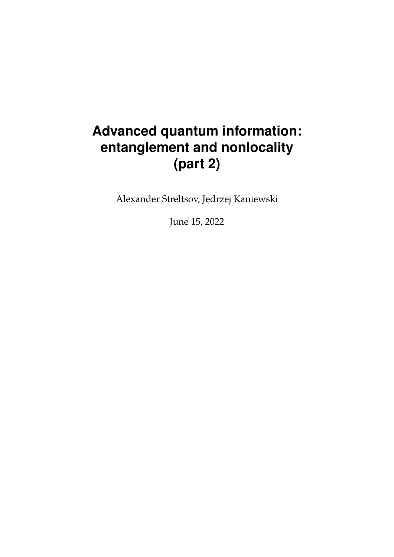# **Advanced quantum information: entanglement and nonlocality (part 2)**

Alexander Streltsov, Jędrzej Kaniewski

June 15, 2022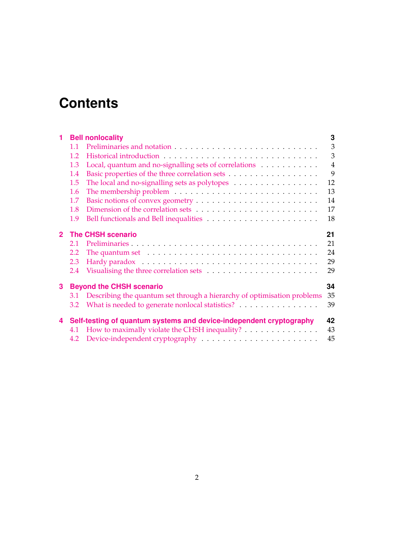# **Contents**

| 1                                                                              |                                                                     | <b>Bell nonlocality</b>                                                                                   | 3              |  |
|--------------------------------------------------------------------------------|---------------------------------------------------------------------|-----------------------------------------------------------------------------------------------------------|----------------|--|
|                                                                                | 1.1                                                                 |                                                                                                           | $\overline{3}$ |  |
|                                                                                | 1.2                                                                 |                                                                                                           | $\overline{3}$ |  |
|                                                                                | 1.3                                                                 | Local, quantum and no-signalling sets of correlations                                                     | $\overline{4}$ |  |
|                                                                                | 1.4                                                                 |                                                                                                           | 9              |  |
|                                                                                | 1.5                                                                 | The local and no-signalling sets as polytopes with a set of the local and no-signalling sets as polytopes | 12             |  |
|                                                                                | 1.6                                                                 |                                                                                                           | 13             |  |
|                                                                                | 1.7                                                                 |                                                                                                           | 14             |  |
|                                                                                | 1.8                                                                 |                                                                                                           | 17             |  |
|                                                                                | 1.9                                                                 |                                                                                                           | 18             |  |
| $\mathbf{2}$                                                                   | <b>The CHSH scenario</b>                                            | 21                                                                                                        |                |  |
|                                                                                | 2.1                                                                 |                                                                                                           | 21             |  |
|                                                                                | 2.2                                                                 | The quantum set $\dots \dots \dots \dots \dots \dots \dots \dots \dots \dots \dots \dots$                 | 24             |  |
|                                                                                | 2.3                                                                 |                                                                                                           | 29             |  |
|                                                                                | 2.4                                                                 |                                                                                                           | 29             |  |
| 3                                                                              | <b>Beyond the CHSH scenario</b><br>34                               |                                                                                                           |                |  |
| Describing the quantum set through a hierarchy of optimisation problems<br>3.1 |                                                                     |                                                                                                           | 35             |  |
|                                                                                | 3.2                                                                 | What is needed to generate nonlocal statistics?                                                           | 39             |  |
| 4                                                                              | Self-testing of quantum systems and device-independent cryptography |                                                                                                           |                |  |
|                                                                                | 4.1                                                                 | How to maximally violate the CHSH inequality?                                                             | 43             |  |
|                                                                                | 4.2                                                                 | Device-independent cryptography $\dots\dots\dots\dots\dots\dots\dots\dots\dots$                           | 45             |  |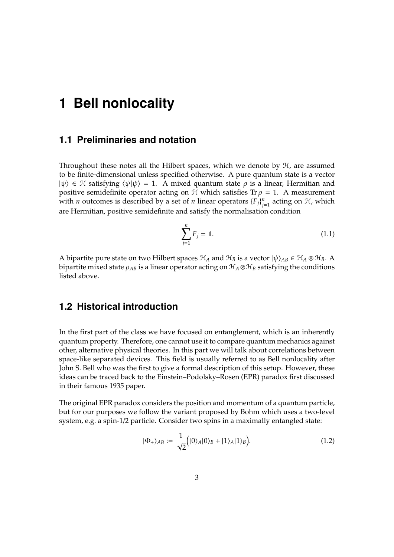### <span id="page-2-1"></span><span id="page-2-0"></span>**1.1 Preliminaries and notation**

Throughout these notes all the Hilbert spaces, which we denote by  $H$ , are assumed to be finite-dimensional unless specified otherwise. A pure quantum state is a vector  $|\psi\rangle \in \mathcal{H}$  satisfying  $\langle \psi | \psi \rangle = 1$ . A mixed quantum state  $\rho$  is a linear, Hermitian and positive semidefinite operator acting on  $\mathcal H$  which satisfies Tr  $\rho = 1$ . A measurement with *n* outcomes is described by a set of *n* linear operators  $\{F_j\}_{j=1}^n$  $_{j=1}^{n}$  acting on  $H$ , which are Hermitian, positive semidefinite and satisfy the normalisation condition

$$
\sum_{j=1}^{n} F_j = 1.
$$
 (1.1)

A bipartite pure state on two Hilbert spaces  $\mathcal{H}_A$  and  $\mathcal{H}_B$  is a vector  $|\psi\rangle_{AB} \in \mathcal{H}_A \otimes \mathcal{H}_B$ . A bipartite mixed state  $\rho_{AB}$  is a linear operator acting on  $\mathcal{H}_A \otimes \mathcal{H}_B$  satisfying the conditions listed above.

## <span id="page-2-2"></span>**1.2 Historical introduction**

In the first part of the class we have focused on entanglement, which is an inherently quantum property. Therefore, one cannot use it to compare quantum mechanics against other, alternative physical theories. In this part we will talk about correlations between space-like separated devices. This field is usually referred to as Bell nonlocality after John S. Bell who was the first to give a formal description of this setup. However, these ideas can be traced back to the Einstein–Podolsky–Rosen (EPR) paradox first discussed in their famous 1935 paper.

The original EPR paradox considers the position and momentum of a quantum particle, but for our purposes we follow the variant proposed by Bohm which uses a two-level system, e.g. a spin-1/2 particle. Consider two spins in a maximally entangled state:

$$
|\Phi_{+}\rangle_{AB} := \frac{1}{\sqrt{2}} (|0\rangle_{A}|0\rangle_{B} + |1\rangle_{A}|1\rangle_{B}). \tag{1.2}
$$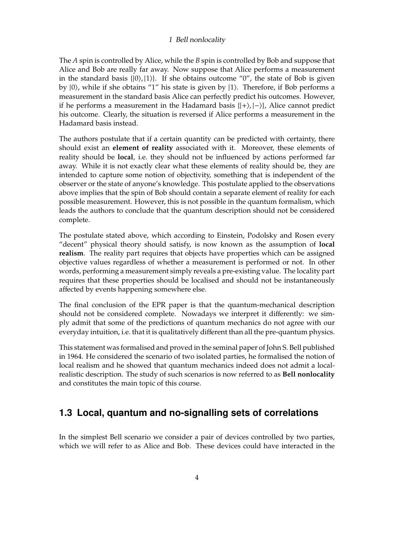The *A* spin is controlled by Alice, while the *B* spin is controlled by Bob and suppose that Alice and Bob are really far away. Now suppose that Alice performs a measurement in the standard basis  $\{ |0\rangle, |1\rangle \}$ . If she obtains outcome "0", the state of Bob is given by  $|0\rangle$ , while if she obtains "1" his state is given by  $|1\rangle$ . Therefore, if Bob performs a measurement in the standard basis Alice can perfectly predict his outcomes. However, if he performs a measurement in the Hadamard basis  $\{|+\rangle, |-\rangle\}$ , Alice cannot predict his outcome. Clearly, the situation is reversed if Alice performs a measurement in the Hadamard basis instead.

The authors postulate that if a certain quantity can be predicted with certainty, there should exist an **element of reality** associated with it. Moreover, these elements of reality should be **local**, i.e. they should not be influenced by actions performed far away. While it is not exactly clear what these elements of reality should be, they are intended to capture some notion of objectivity, something that is independent of the observer or the state of anyone's knowledge. This postulate applied to the observations above implies that the spin of Bob should contain a separate element of reality for each possible measurement. However, this is not possible in the quantum formalism, which leads the authors to conclude that the quantum description should not be considered complete.

The postulate stated above, which according to Einstein, Podolsky and Rosen every "decent" physical theory should satisfy, is now known as the assumption of **local realism**. The reality part requires that objects have properties which can be assigned objective values regardless of whether a measurement is performed or not. In other words, performing a measurement simply reveals a pre-existing value. The locality part requires that these properties should be localised and should not be instantaneously affected by events happening somewhere else.

The final conclusion of the EPR paper is that the quantum-mechanical description should not be considered complete. Nowadays we interpret it differently: we simply admit that some of the predictions of quantum mechanics do not agree with our everyday intuition, i.e. that it is qualitatively different than all the pre-quantum physics.

This statement was formalised and proved in the seminal paper of John S. Bell published in 1964. He considered the scenario of two isolated parties, he formalised the notion of local realism and he showed that quantum mechanics indeed does not admit a localrealistic description. The study of such scenarios is now referred to as **Bell nonlocality** and constitutes the main topic of this course.

## <span id="page-3-0"></span>**1.3 Local, quantum and no-signalling sets of correlations**

In the simplest Bell scenario we consider a pair of devices controlled by two parties, which we will refer to as Alice and Bob. These devices could have interacted in the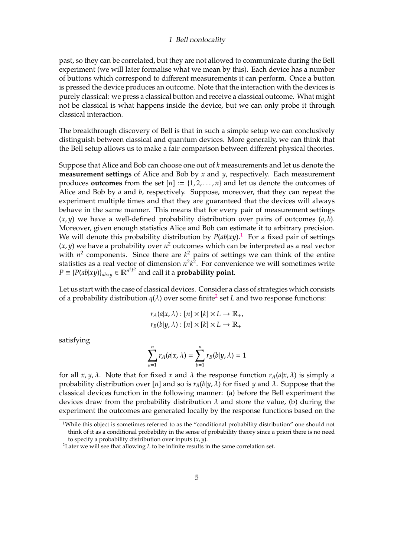past, so they can be correlated, but they are not allowed to communicate during the Bell experiment (we will later formalise what we mean by this). Each device has a number of buttons which correspond to different measurements it can perform. Once a button is pressed the device produces an outcome. Note that the interaction with the devices is purely classical: we press a classical button and receive a classical outcome. What might not be classical is what happens inside the device, but we can only probe it through classical interaction.

The breakthrough discovery of Bell is that in such a simple setup we can conclusively distinguish between classical and quantum devices. More generally, we can think that the Bell setup allows us to make a fair comparison between different physical theories.

Suppose that Alice and Bob can choose one out of *k* measurements and let us denote the **measurement settings** of Alice and Bob by *x* and *y*, respectively. Each measurement produces **outcomes** from the set  $[n] := \{1, 2, \ldots, n\}$  and let us denote the outcomes of Alice and Bob by *a* and *b*, respectively. Suppose, moreover, that they can repeat the experiment multiple times and that they are guaranteed that the devices will always behave in the same manner. This means that for every pair of measurement settings  $(x, y)$  we have a well-defined probability distribution over pairs of outcomes  $(a, b)$ . Moreover, given enough statistics Alice and Bob can estimate it to arbitrary precision. We will denote this probability distribution by  $P(ab|xy)$ .<sup>[1](#page-4-0)</sup> For a fixed pair of settings  $(x, y)$  we have a probability over  $n^2$  outcomes which can be interpreted as a real vector with  $n^2$  components. Since there are  $k^2$  pairs of settings we can think of the entire statistics as a real vector of dimension  $n^2k^2$ . For convenience we will sometimes write  $P \equiv \{P(ab|xy)\}_{abxy} \in \mathbb{R}^{n^2 k^2}$  and call it a **probability point**.

Let us start with the case of classical devices. Consider a class of strategies which consists of a probability distribution  $q(\lambda)$  over some finite<sup>[2](#page-4-1)</sup> set *L* and two response functions:

$$
r_A(a|x,\lambda): [n] \times [k] \times L \to \mathbb{R}_+,
$$
  

$$
r_B(b|y,\lambda): [n] \times [k] \times L \to \mathbb{R}_+
$$

satisfying

$$
\sum_{a=1}^n r_A(a|x,\lambda) = \sum_{b=1}^n r_B(b|y,\lambda) = 1
$$

for all *x*, *y*,  $\lambda$ . Note that for fixed *x* and  $\lambda$  the response function  $r_A(a|x, \lambda)$  is simply a probability distribution over [*n*] and so is  $r_B(b|y, \lambda)$  for fixed *y* and  $\lambda$ . Suppose that the classical devices function in the following manner: (a) before the Bell experiment the devices draw from the probability distribution  $\lambda$  and store the value, (b) during the experiment the outcomes are generated locally by the response functions based on the

<span id="page-4-0"></span><sup>&</sup>lt;sup>1</sup>While this object is sometimes referred to as the "conditional probability distribution" one should not think of it as a conditional probability in the sense of probability theory since a priori there is no need to specify a probability distribution over inputs (*x*, *y*).

<span id="page-4-1"></span><sup>&</sup>lt;sup>2</sup>Later we will see that allowing *L* to be infinite results in the same correlation set.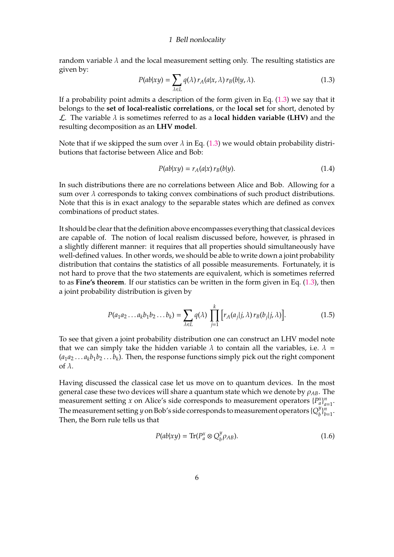random variable  $\lambda$  and the local measurement setting only. The resulting statistics are given by:

<span id="page-5-0"></span>
$$
P(ab|xy) = \sum_{\lambda \in L} q(\lambda) r_A(a|x, \lambda) r_B(b|y, \lambda).
$$
 (1.3)

If a probability point admits a description of the form given in Eq.  $(1.3)$  we say that it belongs to the **set of local-realistic correlations**, or the **local set** for short, denoted by  $\mathcal{L}$ . The variable  $\lambda$  is sometimes referred to as a **local hidden variable (LHV)** and the resulting decomposition as an **LHV model**.

Note that if we skipped the sum over  $\lambda$  in Eq. [\(1.3\)](#page-5-0) we would obtain probability distributions that factorise between Alice and Bob:

$$
P(ab|xy) = r_A(a|x) r_B(b|y).
$$
\n(1.4)

In such distributions there are no correlations between Alice and Bob. Allowing for a sum over  $\lambda$  corresponds to taking convex combinations of such product distributions. Note that this is in exact analogy to the separable states which are defined as convex combinations of product states.

It should be clear that the definition above encompasses everything that classical devices are capable of. The notion of local realism discussed before, however, is phrased in a slightly different manner: it requires that all properties should simultaneously have well-defined values. In other words, we should be able to write down a joint probability distribution that contains the statistics of all possible measurements. Fortunately, it is not hard to prove that the two statements are equivalent, which is sometimes referred to as **Fine's theorem**. If our statistics can be written in the form given in Eq. [\(1.3\)](#page-5-0), then a joint probability distribution is given by

$$
P(a_1a_2\ldots a_kb_1b_2\ldots b_k) = \sum_{\lambda \in L} q(\lambda) \prod_{j=1}^k \left[ r_A(a_j|j,\lambda) \, r_B(b_j|j,\lambda) \right]. \tag{1.5}
$$

To see that given a joint probability distribution one can construct an LHV model note that we can simply take the hidden variable  $\lambda$  to contain all the variables, i.e.  $\lambda =$  $(a_1a_2\dots a_kb_1b_2\dots b_k)$ . Then, the response functions simply pick out the right component of  $\lambda$ .

Having discussed the classical case let us move on to quantum devices. In the most general case these two devices will share a quantum state which we denote by ρ*AB*. The measurement setting *x* on Alice's side corresponds to measurement operators  $\{P_a^x\}_{a=1}^n$ *a*=1 . The measurement setting *y* on Bob's side corresponds to measurement operators { $Q^y_h$ *b* } *n*  $\frac{n}{b=1}$ . Then, the Born rule tells us that

<span id="page-5-1"></span>
$$
P(ab|xy) = \text{Tr}(P_a^x \otimes Q_b^y \rho_{AB}).
$$
\n(1.6)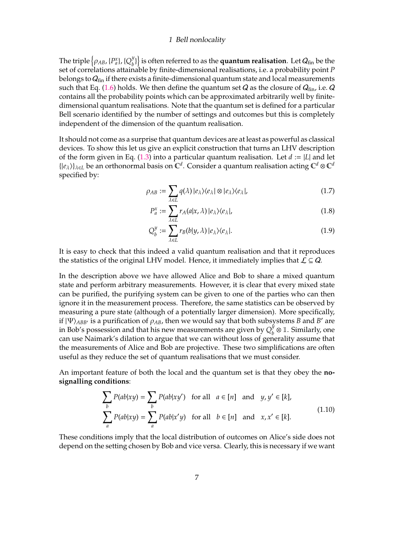The triple  $\left\{\rho_{AB}, \{P^x_a\}, \{Q^y_b\} \right\}$  $\left\{ \begin{array}{l} \mathbf{y} \\ b \end{array} \right\}$  is often referred to as the **quantum realisation**. Let  $Q_{\text{fin}}$  be the set of correlations attainable by finite-dimensional realisations, i.e. a probability point *P* belongs to  $Q_{fin}$  if there exists a finite-dimensional quantum state and local measurements such that Eq. [\(1.6\)](#page-5-1) holds. We then define the quantum set Q as the closure of  $Q_{fin}$ , i.e. Q contains all the probability points which can be approximated arbitrarily well by finitedimensional quantum realisations. Note that the quantum set is defined for a particular Bell scenario identified by the number of settings and outcomes but this is completely independent of the dimension of the quantum realisation.

It should not come as a surprise that quantum devices are at least as powerful as classical devices. To show this let us give an explicit construction that turns an LHV description of the form given in Eq. [\(1.3\)](#page-5-0) into a particular quantum realisation. Let *d* := |*L*| and let  $\{|e_\lambda\rangle\}_{\lambda \in L}$  be an orthonormal basis on  $\mathbb{C}^d$ . Consider a quantum realisation acting  $\mathbb{C}^d \otimes \mathbb{C}^d$ specified by:

$$
\rho_{AB} := \sum_{\lambda \in L} q(\lambda) |e_{\lambda}\rangle \langle e_{\lambda} | \otimes |e_{\lambda}\rangle \langle e_{\lambda} |, \tag{1.7}
$$

$$
P_a^x := \sum_{\lambda \in L} r_A(a|x, \lambda) |e_\lambda\rangle\langle e_\lambda|, \tag{1.8}
$$

$$
Q_b^y := \sum_{\lambda \in L} r_B(b|y, \lambda) |e_\lambda\rangle\langle e_\lambda|.
$$
 (1.9)

It is easy to check that this indeed a valid quantum realisation and that it reproduces the statistics of the original LHV model. Hence, it immediately implies that  $\mathcal{L} \subseteq \mathcal{Q}$ .

In the description above we have allowed Alice and Bob to share a mixed quantum state and perform arbitrary measurements. However, it is clear that every mixed state can be purified, the purifying system can be given to one of the parties who can then ignore it in the measurement process. Therefore, the same statistics can be observed by measuring a pure state (although of a potentially larger dimension). More specifically, if  $|\Psi\rangle_{ABB}$  is a purification of  $\rho_{AB}$ , then we would say that both subsystems *B* and *B'* are in Bob's possession and that his new measurements are given by  $Q_h^{\check{y}}$  $\frac{y}{b} \otimes \mathbb{1}$ . Similarly, one can use Naimark's dilation to argue that we can without loss of generality assume that the measurements of Alice and Bob are projective. These two simplifications are often useful as they reduce the set of quantum realisations that we must consider.

An important feature of both the local and the quantum set is that they obey the **nosignalling conditions**:

<span id="page-6-0"></span>
$$
\sum_{b} P(ab|xy) = \sum_{b} P(ab|xy') \text{ for all } a \in [n] \text{ and } y, y' \in [k],
$$
\n
$$
\sum_{a} P(ab|xy) = \sum_{a} P(ab|x'y) \text{ for all } b \in [n] \text{ and } x, x' \in [k].
$$
\n(1.10)

These conditions imply that the local distribution of outcomes on Alice's side does not depend on the setting chosen by Bob and vice versa. Clearly, this is necessary if we want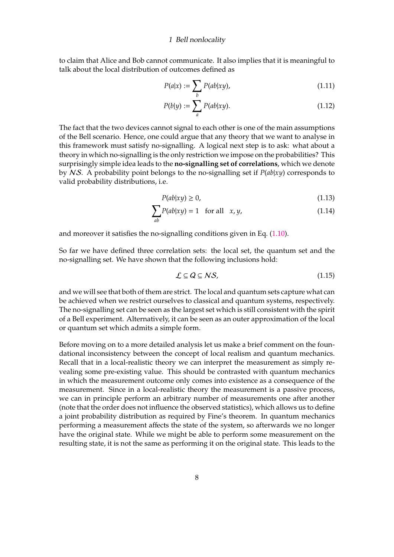to claim that Alice and Bob cannot communicate. It also implies that it is meaningful to talk about the local distribution of outcomes defined as

$$
P(a|x) := \sum_{b} P(ab|xy),\tag{1.11}
$$

$$
P(b|y) := \sum_{a} P(ab|xy).
$$
 (1.12)

The fact that the two devices cannot signal to each other is one of the main assumptions of the Bell scenario. Hence, one could argue that any theory that we want to analyse in this framework must satisfy no-signalling. A logical next step is to ask: what about a theory in which no-signalling is the only restriction we impose on the probabilities? This surprisingly simple idea leads to the **no-signalling set of correlations**, which we denote by NS. A probability point belongs to the no-signalling set if *P*(*ab*|*xy*) corresponds to valid probability distributions, i.e.

$$
P(ab|xy) \ge 0,\tag{1.13}
$$

$$
\sum_{ab} P(ab|xy) = 1 \quad \text{for all} \quad x, y,
$$
\n(1.14)

and moreover it satisfies the no-signalling conditions given in Eq. [\(1.10\)](#page-6-0).

So far we have defined three correlation sets: the local set, the quantum set and the no-signalling set. We have shown that the following inclusions hold:

$$
\mathcal{L} \subseteq Q \subseteq NS,\tag{1.15}
$$

and we will see that both of them are strict. The local and quantum sets capture what can be achieved when we restrict ourselves to classical and quantum systems, respectively. The no-signalling set can be seen as the largest set which is still consistent with the spirit of a Bell experiment. Alternatively, it can be seen as an outer approximation of the local or quantum set which admits a simple form.

Before moving on to a more detailed analysis let us make a brief comment on the foundational inconsistency between the concept of local realism and quantum mechanics. Recall that in a local-realistic theory we can interpret the measurement as simply revealing some pre-existing value. This should be contrasted with quantum mechanics in which the measurement outcome only comes into existence as a consequence of the measurement. Since in a local-realistic theory the measurement is a passive process, we can in principle perform an arbitrary number of measurements one after another (note that the order does not influence the observed statistics), which allows us to define a joint probability distribution as required by Fine's theorem. In quantum mechanics performing a measurement affects the state of the system, so afterwards we no longer have the original state. While we might be able to perform some measurement on the resulting state, it is not the same as performing it on the original state. This leads to the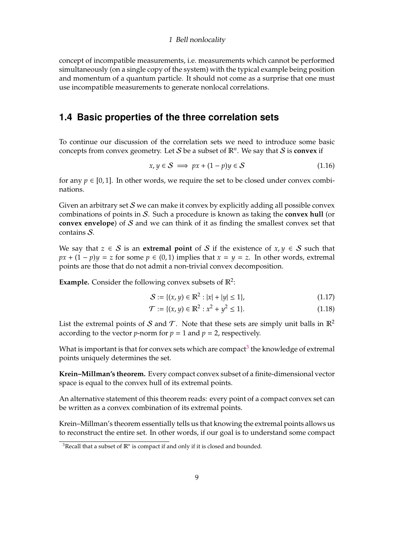concept of incompatible measurements, i.e. measurements which cannot be performed simultaneously (on a single copy of the system) with the typical example being position and momentum of a quantum particle. It should not come as a surprise that one must use incompatible measurements to generate nonlocal correlations.

### <span id="page-8-0"></span>**1.4 Basic properties of the three correlation sets**

To continue our discussion of the correlation sets we need to introduce some basic concepts from convex geometry. Let  $S$  be a subset of  $\mathbb{R}^n$ . We say that  $S$  is **convex** if

$$
x, y \in S \implies px + (1 - p)y \in S \tag{1.16}
$$

for any  $p \in [0, 1]$ . In other words, we require the set to be closed under convex combinations.

Given an arbitrary set  $S$  we can make it convex by explicitly adding all possible convex combinations of points in S. Such a procedure is known as taking the **convex hull** (or **convex envelope**) of S and we can think of it as finding the smallest convex set that contains S.

We say that  $z \in S$  is an **extremal point** of S if the existence of  $x, y \in S$  such that  $px + (1 - p)y = z$  for some  $p \in (0, 1)$  implies that  $x = y = z$ . In other words, extremal points are those that do not admit a non-trivial convex decomposition.

**Example.** Consider the following convex subsets of  $\mathbb{R}^2$ :

<span id="page-8-2"></span>
$$
S := \{(x, y) \in \mathbb{R}^2 : |x| + |y| \le 1\},\tag{1.17}
$$

$$
\mathcal{T} := \{ (x, y) \in \mathbb{R}^2 : x^2 + y^2 \le 1 \}. \tag{1.18}
$$

List the extremal points of S and T. Note that these sets are simply unit balls in  $\mathbb{R}^2$ according to the vector *p*-norm for  $p = 1$  and  $p = 2$ , respectively.

What is important is that for convex sets which are compact $^3$  $^3$  the knowledge of extremal points uniquely determines the set.

**Krein–Millman's theorem.** Every compact convex subset of a finite-dimensional vector space is equal to the convex hull of its extremal points.

An alternative statement of this theorem reads: every point of a compact convex set can be written as a convex combination of its extremal points.

Krein–Millman's theorem essentially tells us that knowing the extremal points allows us to reconstruct the entire set. In other words, if our goal is to understand some compact

<span id="page-8-1"></span><sup>&</sup>lt;sup>3</sup>Recall that a subset of  $\mathbb{R}^n$  is compact if and only if it is closed and bounded.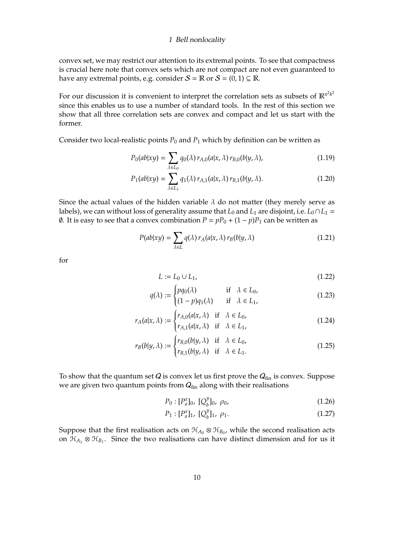convex set, we may restrict our attention to its extremal points. To see that compactness is crucial here note that convex sets which are not compact are not even guaranteed to have any extremal points, e.g. consider  $S = \mathbb{R}$  or  $S = (0, 1) \subseteq \mathbb{R}$ .

For our discussion it is convenient to interpret the correlation sets as subsets of  $\mathbb{R}^{n^2 k^2}$ since this enables us to use a number of standard tools. In the rest of this section we show that all three correlation sets are convex and compact and let us start with the former.

Consider two local-realistic points  $P_0$  and  $P_1$  which by definition can be written as

$$
P_0(ab|xy) = \sum_{\lambda \in L_0} q_0(\lambda) r_{A,0}(a|x,\lambda) r_{B,0}(b|y,\lambda), \qquad (1.19)
$$

$$
P_1(ab|xy) = \sum_{\lambda \in L_1} q_1(\lambda) r_{A,1}(a|x,\lambda) r_{B,1}(b|y,\lambda).
$$
 (1.20)

Since the actual values of the hidden variable  $\lambda$  do not matter (they merely serve as labels), we can without loss of generality assume that  $L_0$  and  $L_1$  are disjoint, i.e.  $L_0 \cap L_1 =$ *Ø.* It is easy to see that a convex combination  $P = pP_0 + (1 - p)P_1$  can be written as

$$
P(ab|xy) = \sum_{\lambda \in L} q(\lambda) r_A(a|x, \lambda) r_B(b|y, \lambda)
$$
 (1.21)

for

$$
L := L_0 \cup L_1,\tag{1.22}
$$

$$
q(\lambda) := \begin{cases} pq_0(\lambda) & \text{if } \lambda \in L_0, \\ (1 - p)q_1(\lambda) & \text{if } \lambda \in L_1, \end{cases}
$$
 (1.23)

$$
r_A(a|x,\lambda) := \begin{cases} r_{A,0}(a|x,\lambda) & \text{if } \lambda \in L_0, \\ r_{A,1}(a|x,\lambda) & \text{if } \lambda \in L_1, \end{cases}
$$
(1.24)

$$
r_B(b|y,\lambda) := \begin{cases} r_{B,0}(b|y,\lambda) & \text{if } \lambda \in L_0, \\ r_{B,1}(b|y,\lambda) & \text{if } \lambda \in L_1. \end{cases}
$$
 (1.25)

To show that the quantum set  $Q$  is convex let us first prove the  $Q_{fin}$  is convex. Suppose we are given two quantum points from  $Q_{fin}$  along with their realisations

$$
P_0: [P_a^x]_0, [Q_b^y]_0, \rho_0,
$$
\n(1.26)

$$
P_1: [P_a^x]_1, [Q_b^y]_1, \rho_1. \tag{1.27}
$$

Suppose that the first realisation acts on  $\mathcal{H}_{A_0} \otimes \mathcal{H}_{B_0}$ , while the second realisation acts on  $\mathcal{H}_{A_1} \otimes \mathcal{H}_{B_1}$ . Since the two realisations can have distinct dimension and for us it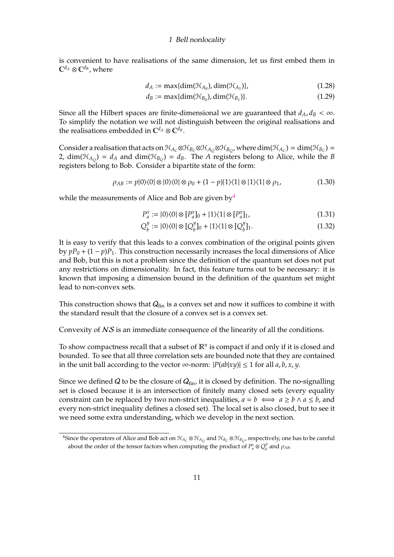is convenient to have realisations of the same dimension, let us first embed them in  $\mathbb{C}^{d_A}\otimes \mathbb{C}^{d_B}$ , where

$$
d_A := \max\{\dim(\mathcal{H}_{A_0}), \dim(\mathcal{H}_{A_1})\},\tag{1.28}
$$

$$
d_B := \max\{\dim(\mathcal{H}_{B_0}), \dim(\mathcal{H}_{B_1})\}.
$$
\n(1.29)

Since all the Hilbert spaces are finite-dimensional we are guaranteed that  $d_A, d_B < \infty$ . To simplify the notation we will not distinguish between the original realisations and the realisations embedded in  $\mathbb{C}^{d_A} \otimes \mathbb{C}^{d_B}$ .

Consider a realisation that acts on  $\mathcal{H}_{A_C} \otimes \mathcal{H}_{B_C} \otimes \mathcal{H}_{A_Q} \otimes \mathcal{H}_{B_Q}$ , where  $\dim(\mathcal{H}_{A_C}) = \dim(\mathcal{H}_{B_C}) =$ 2,  $\dim(\mathfrak{H}_{A_Q}) = d_A$  and  $\dim(\mathfrak{H}_{B_Q}) = d_B$ . The *A* registers belong to Alice, while the *B* registers belong to Bob. Consider a bipartite state of the form:

$$
\rho_{AB} := p|0\rangle\langle 0| \otimes |0\rangle\langle 0| \otimes \rho_0 + (1-p)|1\rangle\langle 1| \otimes |1\rangle\langle 1| \otimes \rho_1,\tag{1.30}
$$

while the measurements of Alice and Bob are given by  $4$ 

$$
P_a^x := |0\rangle\langle 0| \otimes [P_a^x]_0 + |1\rangle\langle 1| \otimes [P_a^x]_1,\tag{1.31}
$$

$$
Q_b^y := |0\rangle\langle 0| \otimes [Q_b^y]_0 + |1\rangle\langle 1| \otimes [Q_b^y]_1.
$$
 (1.32)

It is easy to verify that this leads to a convex combination of the original points given by  $pP_0 + (1-p)P_1$ . This construction necessarily increases the local dimensions of Alice and Bob, but this is not a problem since the definition of the quantum set does not put any restrictions on dimensionality. In fact, this feature turns out to be necessary: it is known that imposing a dimension bound in the definition of the quantum set might lead to non-convex sets.

This construction shows that  $Q_{fin}$  is a convex set and now it suffices to combine it with the standard result that the closure of a convex set is a convex set.

Convexity of NS is an immediate consequence of the linearity of all the conditions.

To show compactness recall that a subset of  $\mathbb{R}^n$  is compact if and only if it is closed and bounded. To see that all three correlation sets are bounded note that they are contained in the unit ball according to the vector ∞-norm:  $|P(ab|xy)| ≤ 1$  for all *a*, *b*, *x*, *y*.

Since we defined Q to be the closure of  $Q_{fin}$ , it is closed by definition. The no-signalling set is closed because it is an intersection of finitely many closed sets (every equality constraint can be replaced by two non-strict inequalities,  $a = b \iff a \ge b \land a \le b$ , and every non-strict inequality defines a closed set). The local set is also closed, but to see it we need some extra understanding, which we develop in the next section.

<span id="page-10-0"></span> $^4$ Since the operators of Alice and Bob act on  $H_{A_C}\otimes H_{A_Q}$  and  $H_{B_C}\otimes H_{B_Q}$ , respectively, one has to be careful about the order of the tensor factors when computing the product of  $P_a^x \otimes Q_b^y$  $\int_b^y$  and  $\rho_{AB}$ .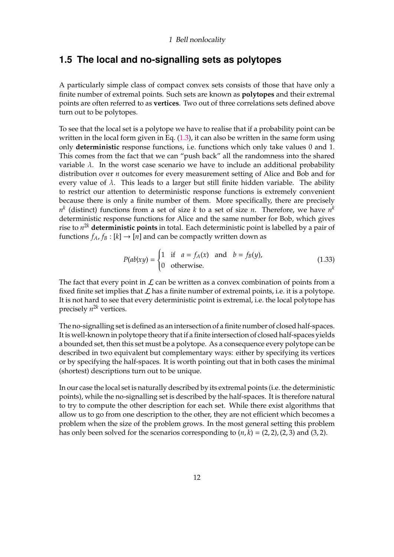## <span id="page-11-0"></span>**1.5 The local and no-signalling sets as polytopes**

A particularly simple class of compact convex sets consists of those that have only a finite number of extremal points. Such sets are known as **polytopes** and their extremal points are often referred to as **vertices**. Two out of three correlations sets defined above turn out to be polytopes.

To see that the local set is a polytope we have to realise that if a probability point can be written in the local form given in Eq.  $(1.3)$ , it can also be written in the same form using only **deterministic** response functions, i.e. functions which only take values 0 and 1. This comes from the fact that we can "push back" all the randomness into the shared variable  $\lambda$ . In the worst case scenario we have to include an additional probability distribution over *n* outcomes for every measurement setting of Alice and Bob and for every value of  $\lambda$ . This leads to a larger but still finite hidden variable. The ability to restrict our attention to deterministic response functions is extremely convenient because there is only a finite number of them. More specifically, there are precisely  $n^k$  (distinct) functions from a set of size  $k$  to a set of size  $n$ . Therefore, we have  $n^k$ deterministic response functions for Alice and the same number for Bob, which gives rise to *n* <sup>2</sup>*<sup>k</sup>* **deterministic points** in total. Each deterministic point is labelled by a pair of functions  $f_A$ ,  $f_B$  :  $[k] \rightarrow [n]$  and can be compactly written down as

$$
P(ab|xy) = \begin{cases} 1 & \text{if } a = f_A(x) \text{ and } b = f_B(y), \\ 0 & \text{otherwise.} \end{cases}
$$
 (1.33)

The fact that every point in  $\mathcal L$  can be written as a convex combination of points from a fixed finite set implies that  $\mathcal L$  has a finite number of extremal points, i.e. it is a polytope. It is not hard to see that every deterministic point is extremal, i.e. the local polytope has precisely *n* <sup>2</sup>*<sup>k</sup>* vertices.

The no-signalling set is defined as an intersection of a finite number of closed half-spaces. It is well-known in polytope theory that if a finite intersection of closed half-spaces yields a bounded set, then this set must be a polytope. As a consequence every polytope can be described in two equivalent but complementary ways: either by specifying its vertices or by specifying the half-spaces. It is worth pointing out that in both cases the minimal (shortest) descriptions turn out to be unique.

In our case the local set is naturally described by its extremal points (i.e. the deterministic points), while the no-signalling set is described by the half-spaces. It is therefore natural to try to compute the other description for each set. While there exist algorithms that allow us to go from one description to the other, they are not efficient which becomes a problem when the size of the problem grows. In the most general setting this problem has only been solved for the scenarios corresponding to  $(n, k) = (2, 2), (2, 3)$  and  $(3, 2)$ .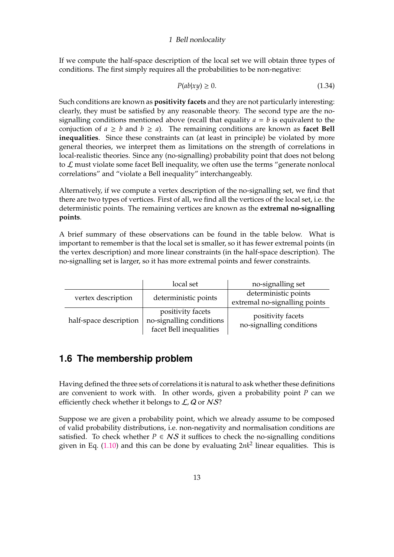If we compute the half-space description of the local set we will obtain three types of conditions. The first simply requires all the probabilities to be non-negative:

$$
P(ab|xy) \ge 0. \tag{1.34}
$$

Such conditions are known as **positivity facets** and they are not particularly interesting: clearly, they must be satisfied by any reasonable theory. The second type are the nosignalling conditions mentioned above (recall that equality  $a = b$  is equivalent to the conjuction of  $a \geq b$  and  $b \geq a$ ). The remaining conditions are known as **facet Bell inequalities**. Since these constraints can (at least in principle) be violated by more general theories, we interpret them as limitations on the strength of correlations in local-realistic theories. Since any (no-signalling) probability point that does not belong to  $\mathcal L$  must violate some facet Bell inequality, we often use the terms "generate nonlocal correlations" and "violate a Bell inequality" interchangeably.

Alternatively, if we compute a vertex description of the no-signalling set, we find that there are two types of vertices. First of all, we find all the vertices of the local set, i.e. the deterministic points. The remaining vertices are known as the **extremal no-signalling points**.

A brief summary of these observations can be found in the table below. What is important to remember is that the local set is smaller, so it has fewer extremal points (in the vertex description) and more linear constraints (in the half-space description). The no-signalling set is larger, so it has more extremal points and fewer constraints.

|                        | local set                | no-signalling set             |
|------------------------|--------------------------|-------------------------------|
|                        | deterministic points     | deterministic points          |
| vertex description     |                          | extremal no-signalling points |
|                        | positivity facets        | positivity facets             |
| half-space description | no-signalling conditions | no-signalling conditions      |
|                        | facet Bell inequalities  |                               |

## <span id="page-12-0"></span>**1.6 The membership problem**

Having defined the three sets of correlations it is natural to ask whether these definitions are convenient to work with. In other words, given a probability point *P* can we efficiently check whether it belongs to  $\mathcal{L}, \mathcal{Q}$  or  $\mathcal{NS}$ ?

Suppose we are given a probability point, which we already assume to be composed of valid probability distributions, i.e. non-negativity and normalisation conditions are satisfied. To check whether  $P \in NS$  it suffices to check the no-signalling conditions given in Eq. [\(1.10\)](#page-6-0) and this can be done by evaluating 2*nk*<sup>2</sup> linear equalities. This is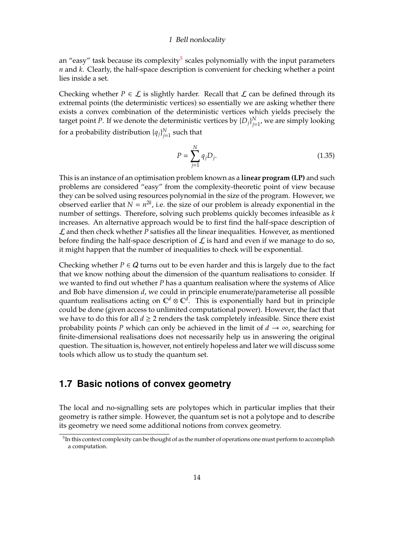an "easy" task because its complexity<sup>[5](#page-13-1)</sup> scales polynomially with the input parameters *n* and *k*. Clearly, the half-space description is convenient for checking whether a point lies inside a set.

Checking whether  $P \in \mathcal{L}$  is slightly harder. Recall that  $\mathcal{L}$  can be defined through its extremal points (the deterministic vertices) so essentially we are asking whether there exists a convex combination of the deterministic vertices which yields precisely the target point *P*. If we denote the deterministic vertices by  $\{D_j\}_{j=1}^N$ *j*=1 , we are simply looking for a probability distribution  $\{q_j\}_{j=1}^N$  $\frac{N}{j=1}$  such that

$$
P = \sum_{j=1}^{N} q_j D_j.
$$
 (1.35)

This is an instance of an optimisation problem known as a **linear program (LP)** and such problems are considered "easy" from the complexity-theoretic point of view because they can be solved using resources polynomial in the size of the program. However, we observed earlier that  $N = n^{2k}$ , i.e. the size of our problem is already exponential in the number of settings. Therefore, solving such problems quickly becomes infeasible as *k* increases. An alternative approach would be to first find the half-space description of L and then check whether *P* satisfies all the linear inequalities. However, as mentioned before finding the half-space description of  $\mathcal L$  is hard and even if we manage to do so, it might happen that the number of inequalities to check will be exponential.

Checking whether  $P \in \mathcal{Q}$  turns out to be even harder and this is largely due to the fact that we know nothing about the dimension of the quantum realisations to consider. If we wanted to find out whether *P* has a quantum realisation where the systems of Alice and Bob have dimension *d*, we could in principle enumerate/parameterise all possible quantum realisations acting on  $\mathbb{C}^d \otimes \mathbb{C}^d$ . This is exponentially hard but in principle could be done (given access to unlimited computational power). However, the fact that we have to do this for all  $d \geq 2$  renders the task completely infeasible. Since there exist probability points *P* which can only be achieved in the limit of  $d \rightarrow \infty$ , searching for finite-dimensional realisations does not necessarily help us in answering the original question. The situation is, however, not entirely hopeless and later we will discuss some tools which allow us to study the quantum set.

## <span id="page-13-0"></span>**1.7 Basic notions of convex geometry**

The local and no-signalling sets are polytopes which in particular implies that their geometry is rather simple. However, the quantum set is not a polytope and to describe its geometry we need some additional notions from convex geometry.

<span id="page-13-1"></span> $^5$ In this context complexity can be thought of as the number of operations one must perform to accomplish a computation.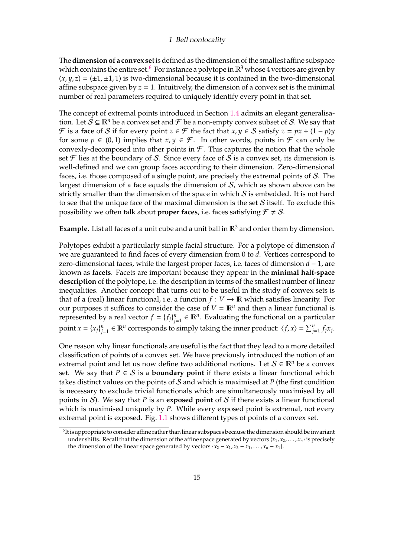The**dimension of a convex set**is defined as the dimension of the smallest affine subspace which contains the entire set.<sup>[6](#page-14-0)</sup> For instance a polytope in  $\mathbb{R}^3$  whose 4 vertices are given by  $(x, y, z) = (\pm 1, \pm 1, 1)$  is two-dimensional because it is contained in the two-dimensional affine subspace given by  $z = 1$ . Intuitively, the dimension of a convex set is the minimal number of real parameters required to uniquely identify every point in that set.

The concept of extremal points introduced in Section [1.4](#page-8-0) admits an elegant generalisation. Let  $S \subseteq \mathbb{R}^n$  be a convex set and  $\mathcal F$  be a non-empty convex subset of S. We say that F is a **face** of S if for every point  $z \in \mathcal{F}$  the fact that  $x, y \in S$  satisfy  $z = px + (1 - p)y$ for some  $p \in (0,1)$  implies that  $x, y \in \mathcal{F}$ . In other words, points in  $\mathcal F$  can only be convexly-decomposed into other points in  $\mathcal F$ . This captures the notion that the whole set  $\mathcal F$  lies at the boundary of S. Since every face of S is a convex set, its dimension is well-defined and we can group faces according to their dimension. Zero-dimensional faces, i.e. those composed of a single point, are precisely the extremal points of S. The largest dimension of a face equals the dimension of  $S$ , which as shown above can be strictly smaller than the dimension of the space in which  $S$  is embedded. It is not hard to see that the unique face of the maximal dimension is the set  $S$  itself. To exclude this possibility we often talk about **proper faces**, i.e. faces satisfying  $\mathcal{F} \neq \mathcal{S}$ .

**Example.** List all faces of a unit cube and a unit ball in  $\mathbb{R}^3$  and order them by dimension.

Polytopes exhibit a particularly simple facial structure. For a polytope of dimension *d* we are guaranteed to find faces of every dimension from 0 to *d*. Vertices correspond to zero-dimensional faces, while the largest proper faces, i.e. faces of dimension *d* − 1, are known as **facets**. Facets are important because they appear in the **minimal half-space description** of the polytope, i.e. the description in terms of the smallest number of linear inequalities. Another concept that turns out to be useful in the study of convex sets is that of a (real) linear functional, i.e. a function  $f: V \to \mathbb{R}$  which satisfies linearity. For our purposes it suffices to consider the case of  $V = \mathbb{R}^n$  and then a linear functional is represented by a real vector  $f = \{f_j\}_{j=1}^n$  $\mathbf{z}_{j=1}^n \in \mathbb{R}^n$ . Evaluating the functional on a particular point  $x = \{x_j\}_{j=1}^n$  $j = 1 \in \mathbb{R}^n$  corresponds to simply taking the inner product:  $\langle f, x \rangle = \sum_{j=1}^n f_j x_j$ .

One reason why linear functionals are useful is the fact that they lead to a more detailed classification of points of a convex set. We have previously introduced the notion of an extremal point and let us now define two additional notions. Let  $S \in \mathbb{R}^n$  be a convex set. We say that  $P \in S$  is a **boundary point** if there exists a linear functional which takes distinct values on the points of S and which is maximised at *P* (the first condition is necessary to exclude trivial functionals which are simultaneously maximised by all points in  $S$ ). We say that  $P$  is an **exposed point** of  $S$  if there exists a linear functional which is maximised uniquely by *P*. While every exposed point is extremal, not every extremal point is exposed. Fig. [1.1](#page-15-0) shows different types of points of a convex set.

<span id="page-14-0"></span><sup>6</sup> It is appropriate to consider affine rather than linear subspaces because the dimension should be invariant under shifts. Recall that the dimension of the affine space generated by vectors  $\{x_1, x_2, \ldots, x_n\}$  is precisely the dimension of the linear space generated by vectors  $\{x_2 - x_1, x_3 - x_1, \ldots, x_n - x_1\}$ .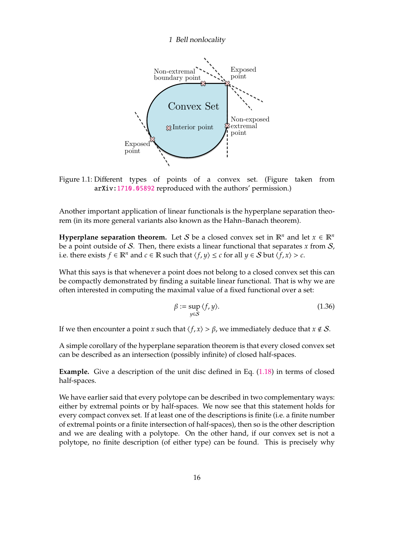

<span id="page-15-0"></span>Figure 1.1: Different types of points of a convex set. (Figure taken from arXiv[:1710.05892](http://arxiv.org/abs/1710.05892) reproduced with the authors' permission.)

Another important application of linear functionals is the hyperplane separation theorem (in its more general variants also known as the Hahn–Banach theorem).

**Hyperplane separation theorem.** Let S be a closed convex set in  $\mathbb{R}^n$  and let  $x \in \mathbb{R}^n$ be a point outside of S. Then, there exists a linear functional that separates *x* from S, i.e. there exists *f* ∈  $\mathbb{R}^n$  and *c* ∈  $\mathbb{R}$  such that  $\langle f, y \rangle \le c$  for all *y* ∈ *S* but  $\langle f, x \rangle > c$ .

What this says is that whenever a point does not belong to a closed convex set this can be compactly demonstrated by finding a suitable linear functional. That is why we are often interested in computing the maximal value of a fixed functional over a set:

$$
\beta := \sup_{y \in S} \langle f, y \rangle. \tag{1.36}
$$

If we then encounter a point *x* such that  $\langle f, x \rangle > \beta$ , we immediately deduce that  $x \notin S$ .

A simple corollary of the hyperplane separation theorem is that every closed convex set can be described as an intersection (possibly infinite) of closed half-spaces.

**Example.** Give a description of the unit disc defined in Eq.  $(1.18)$  in terms of closed half-spaces.

We have earlier said that every polytope can be described in two complementary ways: either by extremal points or by half-spaces. We now see that this statement holds for every compact convex set. If at least one of the descriptions is finite (i.e. a finite number of extremal points or a finite intersection of half-spaces), then so is the other description and we are dealing with a polytope. On the other hand, if our convex set is not a polytope, no finite description (of either type) can be found. This is precisely why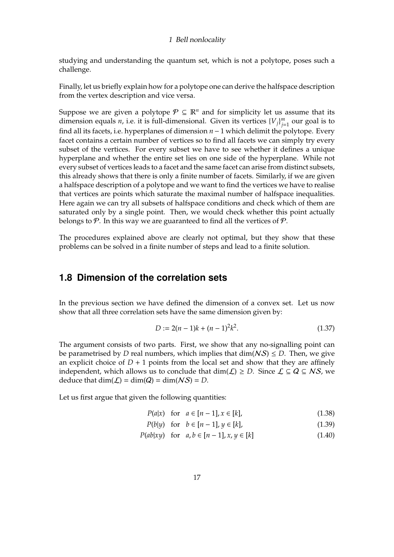studying and understanding the quantum set, which is not a polytope, poses such a challenge.

Finally, let us briefly explain how for a polytope one can derive the halfspace description from the vertex description and vice versa.

Suppose we are given a polytope  $P \subseteq \mathbb{R}^n$  and for simplicity let us assume that its dimension equals *n*, i.e. it is full-dimensional. Given its vertices  ${V_j}^m_{j=1}$ *j*=1 our goal is to find all its facets, i.e. hyperplanes of dimension *n*−1 which delimit the polytope. Every facet contains a certain number of vertices so to find all facets we can simply try every subset of the vertices. For every subset we have to see whether it defines a unique hyperplane and whether the entire set lies on one side of the hyperplane. While not every subset of vertices leads to a facet and the same facet can arise from distinct subsets, this already shows that there is only a finite number of facets. Similarly, if we are given a halfspace description of a polytope and we want to find the vertices we have to realise that vertices are points which saturate the maximal number of halfspace inequalities. Here again we can try all subsets of halfspace conditions and check which of them are saturated only by a single point. Then, we would check whether this point actually belongs to  $\mathcal P$ . In this way we are guaranteed to find all the vertices of  $\mathcal P$ .

The procedures explained above are clearly not optimal, but they show that these problems can be solved in a finite number of steps and lead to a finite solution.

## <span id="page-16-0"></span>**1.8 Dimension of the correlation sets**

In the previous section we have defined the dimension of a convex set. Let us now show that all three correlation sets have the same dimension given by:

$$
D := 2(n-1)k + (n-1)^2k^2.
$$
 (1.37)

The argument consists of two parts. First, we show that any no-signalling point can be parametrised by *D* real numbers, which implies that  $\dim(NS) \leq D$ . Then, we give an explicit choice of  $D + 1$  points from the local set and show that they are affinely independent, which allows us to conclude that  $\dim(\mathcal{L}) \geq D$ . Since  $\mathcal{L} \subseteq Q \subseteq NS$ , we deduce that  $\dim(\mathcal{L}) = \dim(Q) = \dim(NS) = D$ .

Let us first argue that given the following quantities:

<span id="page-16-1"></span>*P*(*a*|*x*) for  $a \in [n-1], x \in [k]$ , (1.38)

<span id="page-16-2"></span>*P*(*b*|*y*) for  $b \in [n-1], y \in [k]$ , (1.39)

$$
P(ab|xy) \quad \text{for} \quad a, b \in [n-1], x, y \in [k] \tag{1.40}
$$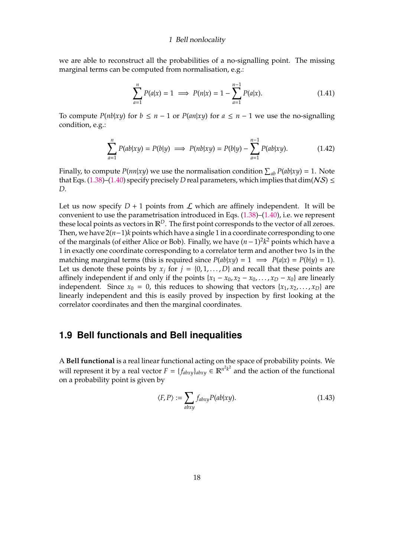we are able to reconstruct all the probabilities of a no-signalling point. The missing marginal terms can be computed from normalisation, e.g.:

$$
\sum_{a=1}^{n} P(a|x) = 1 \implies P(n|x) = 1 - \sum_{a=1}^{n-1} P(a|x). \tag{1.41}
$$

To compute *P*( $n b |x y$ ) for *b* ≤ *n* − 1 or *P*( $an |xy$ ) for *a* ≤ *n* − 1 we use the no-signalling condition, e.g.:

$$
\sum_{a=1}^{n} P(ab|xy) = P(b|y) \implies P(nb|xy) = P(b|y) - \sum_{a=1}^{n-1} P(ab|xy).
$$
 (1.42)

Finally, to compute  $P(nn|xy)$  we use the normalisation condition  $\sum_{ab} P(ab|xy) = 1$ . Note that Eqs. [\(1.38\)](#page-16-1)–[\(1.40\)](#page-16-2) specify precisely *D* real parameters, which implies that dim( $NS$ )  $\le$ *D*.

Let us now specify  $D + 1$  points from  $\mathcal L$  which are affinely independent. It will be convenient to use the parametrisation introduced in Eqs.  $(1.38)$ – $(1.40)$ , i.e. we represent these local points as vectors in  $\mathbb{R}^D$ . The first point corresponds to the vector of all zeroes. Then, we have 2(*n*−1)*k* points which have a single 1 in a coordinate corresponding to one of the marginals (of either Alice or Bob). Finally, we have (*n*−1)<sup>2</sup> *k* <sup>2</sup> points which have a 1 in exactly one coordinate corresponding to a correlator term and another two 1s in the matching marginal terms (this is required since  $P(ab|xy) = 1 \implies P(a|x) = P(b|y) = 1$ ). Let us denote these points by  $x_j$  for  $j = \{0, 1, \ldots, D\}$  and recall that these points are affinely independent if and only if the points  $\{x_1 - x_0, x_2 - x_0, \ldots, x_D - x_0\}$  are linearly independent. Since  $x_0 = 0$ , this reduces to showing that vectors  $\{x_1, x_2, \ldots, x_D\}$  are linearly independent and this is easily proved by inspection by first looking at the correlator coordinates and then the marginal coordinates.

## <span id="page-17-0"></span>**1.9 Bell functionals and Bell inequalities**

A **Bell functional** is a real linear functional acting on the space of probability points. We will represent it by a real vector  $F = \{f_{abxy}\}_{abxy} \in \mathbb{R}^{n^2 k^2}$  and the action of the functional on a probability point is given by

$$
\langle F, P \rangle := \sum_{abxy} f_{abxy} P(ab|xy). \tag{1.43}
$$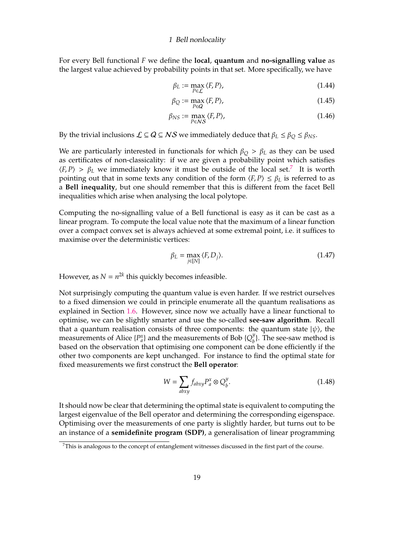For every Bell functional *F* we define the **local**, **quantum** and **no-signalling value** as the largest value achieved by probability points in that set. More specifically, we have

$$
\beta_L := \max_{P \in \mathcal{L}} \langle F, P \rangle,\tag{1.44}
$$

$$
\beta_Q := \max_{P \in \mathcal{Q}} \langle F, P \rangle,\tag{1.45}
$$

$$
\beta_{NS} := \max_{P \in NS} \langle F, P \rangle, \tag{1.46}
$$

By the trivial inclusions  $\mathcal{L} \subseteq Q \subseteq NS$  we immediately deduce that  $\beta_L \leq \beta_O \leq \beta_{NS}$ .

We are particularly interested in functionals for which  $\beta_Q > \beta_L$  as they can be used as certificates of non-classicality: if we are given a probability point which satisfies  $\langle F, P \rangle > \beta_L$  we immediately know it must be outside of the local set.<sup>[7](#page-18-0)</sup> It is worth pointing out that in some texts any condition of the form  $\langle F, P \rangle \le \beta_L$  is referred to as a **Bell inequality**, but one should remember that this is different from the facet Bell inequalities which arise when analysing the local polytope.

Computing the no-signalling value of a Bell functional is easy as it can be cast as a linear program. To compute the local value note that the maximum of a linear function over a compact convex set is always achieved at some extremal point, i.e. it suffices to maximise over the deterministic vertices:

$$
\beta_L = \max_{j \in [N]} \langle F, D_j \rangle. \tag{1.47}
$$

However, as  $N = n^{2k}$  this quickly becomes infeasible.

Not surprisingly computing the quantum value is even harder. If we restrict ourselves to a fixed dimension we could in principle enumerate all the quantum realisations as explained in Section [1.6.](#page-12-0) However, since now we actually have a linear functional to optimise, we can be slightly smarter and use the so-called **see-saw algorithm**. Recall that a quantum realisation consists of three components: the quantum state  $|\psi\rangle$ , the measurements of Alice  $\{P_{a}^{x}\}\$  and the measurements of Bob  $\{Q_{b}^{y}\}$  $\binom{y}{b}$ . The see-saw method is based on the observation that optimising one component can be done efficiently if the other two components are kept unchanged. For instance to find the optimal state for fixed measurements we first construct the **Bell operator**:

$$
W = \sum_{abxy} f_{abxy} P_a^x \otimes Q_b^y. \tag{1.48}
$$

It should now be clear that determining the optimal state is equivalent to computing the largest eigenvalue of the Bell operator and determining the corresponding eigenspace. Optimising over the measurements of one party is slightly harder, but turns out to be an instance of a **semidefinite program (SDP)**, a generalisation of linear programming

<span id="page-18-0"></span> $<sup>7</sup>$ This is analogous to the concept of entanglement witnesses discussed in the first part of the course.</sup>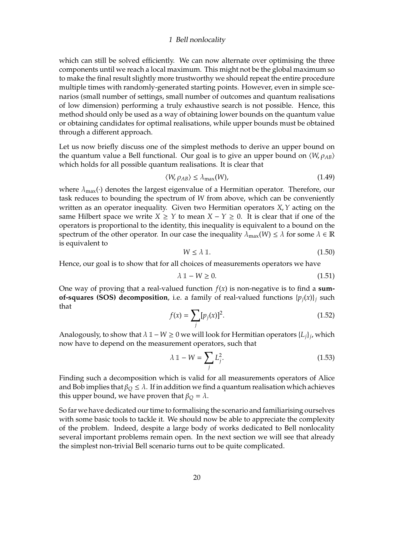which can still be solved efficiently. We can now alternate over optimising the three components until we reach a local maximum. This might not be the global maximum so to make the final result slightly more trustworthy we should repeat the entire procedure multiple times with randomly-generated starting points. However, even in simple scenarios (small number of settings, small number of outcomes and quantum realisations of low dimension) performing a truly exhaustive search is not possible. Hence, this method should only be used as a way of obtaining lower bounds on the quantum value or obtaining candidates for optimal realisations, while upper bounds must be obtained through a different approach.

Let us now briefly discuss one of the simplest methods to derive an upper bound on the quantum value a Bell functional. Our goal is to give an upper bound on  $\langle W, \rho_{AB} \rangle$ which holds for all possible quantum realisations. It is clear that

$$
\langle W, \rho_{AB} \rangle \le \lambda_{\text{max}}(W),\tag{1.49}
$$

where  $\lambda_{\text{max}}(\cdot)$  denotes the largest eigenvalue of a Hermitian operator. Therefore, our task reduces to bounding the spectrum of *W* from above, which can be conveniently written as an operator inequality. Given two Hermitian operators *X*,*Y* acting on the same Hilbert space we write  $X \geq Y$  to mean  $X - Y \geq 0$ . It is clear that if one of the operators is proportional to the identity, this inequality is equivalent to a bound on the spectrum of the other operator. In our case the inequality  $\lambda_{\max}(W) \leq \lambda$  for some  $\lambda \in \mathbb{R}$ is equivalent to

$$
W \le \lambda \, \mathbb{1}.\tag{1.50}
$$

Hence, our goal is to show that for all choices of measurements operators we have

$$
\lambda \mathbb{1} - W \ge 0. \tag{1.51}
$$

One way of proving that a real-valued function  $f(x)$  is non-negative is to find a sum**of-squares (SOS) decomposition**, i.e. a family of real-valued functions  $\{p_i(x)\}\$  such that

$$
f(x) = \sum_{j} [p_j(x)]^2.
$$
 (1.52)

Analogously, to show that  $\lambda$  1 – *W* ≥ 0 we will look for Hermitian operators  $\{L_j\}_j$ , which now have to depend on the measurement operators, such that

$$
\lambda \mathbb{1} - W = \sum_{j} L_j^2. \tag{1.53}
$$

Finding such a decomposition which is valid for all measurements operators of Alice and Bob implies that  $\beta_Q \leq \lambda$ . If in addition we find a quantum realisation which achieves this upper bound, we have proven that  $\beta_Q = \lambda$ .

So far we have dedicated our time to formalising the scenario and familiarising ourselves with some basic tools to tackle it. We should now be able to appreciate the complexity of the problem. Indeed, despite a large body of works dedicated to Bell nonlocality several important problems remain open. In the next section we will see that already the simplest non-trivial Bell scenario turns out to be quite complicated.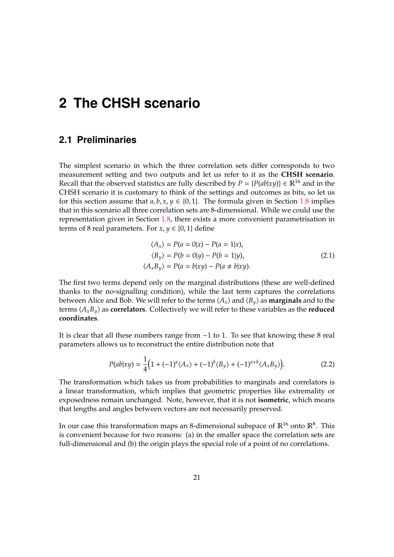## <span id="page-20-1"></span><span id="page-20-0"></span>**2.1 Preliminaries**

The simplest scenario in which the three correlation sets differ corresponds to two measurement setting and two outputs and let us refer to it as the **CHSH scenario**. Recall that the observed statistics are fully described by  $P = {P(ab|xy)} \in \mathbb{R}^{16}$  and in the CHSH scenario it is customary to think of the settings and outcomes as bits, so let us for this section assume that  $a, b, x, y \in \{0, 1\}$ . The formula given in Section [1.8](#page-16-0) implies that in this scenario all three correlation sets are 8-dimensional. While we could use the representation given in Section [1.8,](#page-16-0) there exists a more convenient parametrisation in terms of 8 real parameters. For  $x, y \in \{0, 1\}$  define

<span id="page-20-3"></span>
$$
\langle A_x \rangle = P(a = 0|x) - P(a = 1|x),
$$
  
\n
$$
\langle B_y \rangle = P(b = 0|y) - P(b = 1|y),
$$
  
\n
$$
\langle A_x B_y \rangle = P(a = b|xy) - P(a \neq b|xy).
$$
\n(2.1)

The first two terms depend only on the marginal distributions (these are well-defined thanks to the no-signalling condition), while the last term captures the correlations between Alice and Bob. We will refer to the terms  $\langle A_x \rangle$  and  $\langle B_y \rangle$  as **marginals** and to the terms  $\langle A_x B_y \rangle$  as **correlators**. Collectively we will refer to these variables as the **reduced coordinates**.

It is clear that all these numbers range from −1 to 1. To see that knowing these 8 real parameters allows us to reconstruct the entire distribution note that

<span id="page-20-2"></span>
$$
P(ab|xy) = \frac{1}{4}(1 + (-1)^{a} \langle A_x \rangle + (-1)^{b} \langle B_y \rangle + (-1)^{a+b} \langle A_x B_y \rangle).
$$
 (2.2)

The transformation which takes us from probabilities to marginals and correlators is a linear transformation, which implies that geometric properties like extremality or exposedness remain unchanged. Note, however, that it is not **isometric**, which means that lengths and angles between vectors are not necessarily preserved.

In our case this transformation maps an 8-dimensional subspace of  $\mathbb{R}^{16}$  onto  $\mathbb{R}^{8}$ . This is convenient because for two reasons: (a) in the smaller space the correlation sets are full-dimensional and (b) the origin plays the special role of a point of no correlations.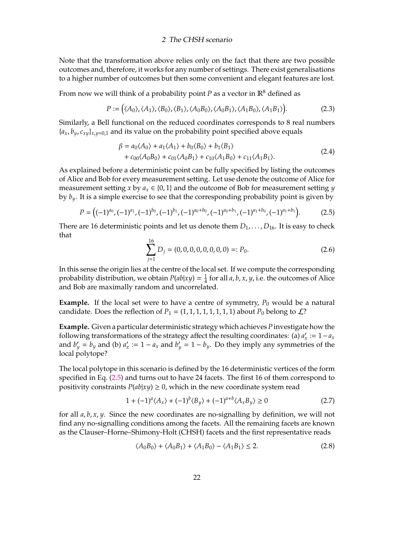Note that the transformation above relies only on the fact that there are two possible outcomes and, therefore, it works for any number of settings. There exist generalisations to a higher number of outcomes but then some convenient and elegant features are lost.

From now we will think of a probability point *P* as a vector in  $\mathbb{R}^8$  defined as

$$
P := \big(\langle A_0 \rangle, \langle A_1 \rangle, \langle B_0 \rangle, \langle B_1 \rangle, \langle A_0 B_0 \rangle, \langle A_0 B_1 \rangle, \langle A_1 B_0 \rangle, \langle A_1 B_1 \rangle\big).
$$
 (2.3)

Similarly, a Bell functional on the reduced coordinates corresponds to 8 real numbers  ${a_x, b_y, c_{xy}}_{x,y=0,1}$  and its value on the probability point specified above equals

<span id="page-21-1"></span>
$$
\beta = a_0 \langle A_0 \rangle + a_1 \langle A_1 \rangle + b_0 \langle B_0 \rangle + b_1 \langle B_1 \rangle + c_{00} \langle A_0 B_0 \rangle + c_{01} \langle A_0 B_1 \rangle + c_{10} \langle A_1 B_0 \rangle + c_{11} \langle A_1 B_1 \rangle.
$$
 (2.4)

As explained before a deterministic point can be fully specified by listing the outcomes of Alice and Bob for every measurement setting. Let use denote the outcome of Alice for measurement setting *x* by  $a_x \in \{0, 1\}$  and the outcome of Bob for measurement setting *y* by  $b_y$ . It is a simple exercise to see that the corresponding probability point is given by

<span id="page-21-0"></span>
$$
P = ((-1)^{a_0}, (-1)^{a_1}, (-1)^{b_0}, (-1)^{b_1}, (-1)^{a_0+b_0}, (-1)^{a_0+b_1}, (-1)^{a_1+b_0}, (-1)^{a_1+b_1}).
$$
 (2.5)

There are 16 deterministic points and let us denote them  $D_1, \ldots, D_{16}$ . It is easy to check that

$$
\sum_{j=1}^{16} D_j = (0, 0, 0, 0, 0, 0, 0, 0) =: P_0.
$$
 (2.6)

In this sense the origin lies at the centre of the local set. If we compute the corresponding probability distribution, we obtain  $P(ab|xy) = \frac{1}{4}$  $\frac{1}{4}$  for all *a*, *b*, *x*, *y*, i.e. the outcomes of Alice and Bob are maximally random and uncorrelated.

**Example.** If the local set were to have a centre of symmetry,  $P_0$  would be a natural candidate. Does the reflection of  $P_1 = (1, 1, 1, 1, 1, 1, 1, 1)$  about  $P_0$  belong to  $\mathcal{L}$ ?

**Example.** Given a particular deterministic strategy which achieves*P*investigate how the following transformations of the strategy affect the resulting coordinates: (a) *a* 0  $a'_x := 1 - a_x$ and  $b'_y = b_y$  and (b)  $a'_x$  $x'_{x} := 1 - a_{x}$  and  $b'_{y} = 1 - b_{y}$ . Do they imply any symmetries of the local polytope?

The local polytope in this scenario is defined by the 16 deterministic vertices of the form specified in Eq. [\(2.5\)](#page-21-0) and turns out to have 24 facets. The first 16 of them correspond to positivity constraints  $P(ab|x|) \geq 0$ , which in the new coordinate system read

$$
1 + (-1)^{a} \langle A_x \rangle + (-1)^{b} \langle B_y \rangle + (-1)^{a+b} \langle A_x B_y \rangle \ge 0
$$
\n(2.7)

for all *a*, *b*, *x*, *y*. Since the new coordinates are no-signalling by definition, we will not find any no-signalling conditions among the facets. All the remaining facets are known as the Clauser–Horne–Shimony-Holt (CHSH) facets and the first representative reads

<span id="page-21-2"></span>
$$
\langle A_0 B_0 \rangle + \langle A_0 B_1 \rangle + \langle A_1 B_0 \rangle - \langle A_1 B_1 \rangle \le 2. \tag{2.8}
$$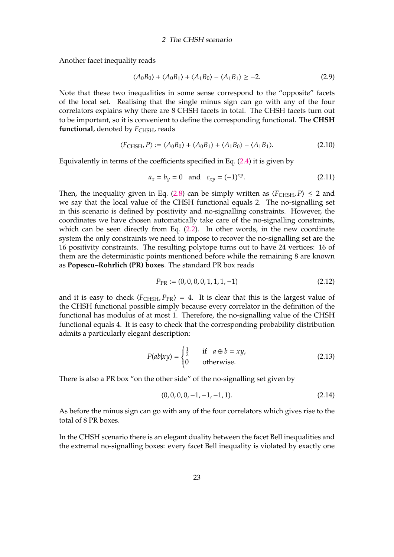Another facet inequality reads

$$
\langle A_0 B_0 \rangle + \langle A_0 B_1 \rangle + \langle A_1 B_0 \rangle - \langle A_1 B_1 \rangle \ge -2. \tag{2.9}
$$

Note that these two inequalities in some sense correspond to the "opposite" facets of the local set. Realising that the single minus sign can go with any of the four correlators explains why there are 8 CHSH facets in total. The CHSH facets turn out to be important, so it is convenient to define the corresponding functional. The **CHSH functional**, denoted by  $F_{\text{CHSH}}$ , reads

$$
\langle F_{\text{CHSH}}, P \rangle := \langle A_0 B_0 \rangle + \langle A_0 B_1 \rangle + \langle A_1 B_0 \rangle - \langle A_1 B_1 \rangle. \tag{2.10}
$$

Equivalently in terms of the coefficients specified in Eq. [\(2.4\)](#page-21-1) it is given by

$$
a_x = b_y = 0 \text{ and } c_{xy} = (-1)^{xy}.
$$
 (2.11)

Then, the inequality given in Eq. [\(2.8\)](#page-21-2) can be simply written as  $\langle F_{\text{CHSH}}, P \rangle \leq 2$  and we say that the local value of the CHSH functional equals 2. The no-signalling set in this scenario is defined by positivity and no-signalling constraints. However, the coordinates we have chosen automatically take care of the no-signalling constraints, which can be seen directly from Eq. [\(2.2\)](#page-20-2). In other words, in the new coordinate system the only constraints we need to impose to recover the no-signalling set are the 16 positivity constraints. The resulting polytope turns out to have 24 vertices: 16 of them are the deterministic points mentioned before while the remaining 8 are known as **Popescu–Rohrlich (PR) boxes**. The standard PR box reads

$$
P_{\rm PR} := (0, 0, 0, 0, 1, 1, 1, -1) \tag{2.12}
$$

and it is easy to check  $\langle F_{\text{CHSH}}, P_{\text{PR}} \rangle = 4$ . It is clear that this is the largest value of the CHSH functional possible simply because every correlator in the definition of the functional has modulus of at most 1. Therefore, the no-signalling value of the CHSH functional equals 4. It is easy to check that the corresponding probability distribution admits a particularly elegant description:

$$
P(ab|xy) = \begin{cases} \frac{1}{2} & \text{if } a \oplus b = xy, \\ 0 & \text{otherwise.} \end{cases}
$$
 (2.13)

There is also a PR box "on the other side" of the no-signalling set given by

$$
(0,0,0,0,-1,-1,-1,1). \t(2.14)
$$

As before the minus sign can go with any of the four correlators which gives rise to the total of 8 PR boxes.

In the CHSH scenario there is an elegant duality between the facet Bell inequalities and the extremal no-signalling boxes: every facet Bell inequality is violated by exactly one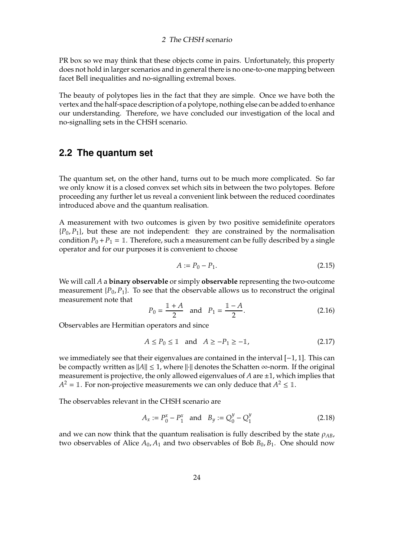PR box so we may think that these objects come in pairs. Unfortunately, this property does not hold in larger scenarios and in general there is no one-to-one mapping between facet Bell inequalities and no-signalling extremal boxes.

The beauty of polytopes lies in the fact that they are simple. Once we have both the vertex and the half-space description of a polytope, nothing else can be added to enhance our understanding. Therefore, we have concluded our investigation of the local and no-signalling sets in the CHSH scenario.

## <span id="page-23-0"></span>**2.2 The quantum set**

The quantum set, on the other hand, turns out to be much more complicated. So far we only know it is a closed convex set which sits in between the two polytopes. Before proceeding any further let us reveal a convenient link between the reduced coordinates introduced above and the quantum realisation.

A measurement with two outcomes is given by two positive semidefinite operators  ${P_0, P_1}$ , but these are not independent: they are constrained by the normalisation condition  $P_0 + P_1 = 1$ . Therefore, such a measurement can be fully described by a single operator and for our purposes it is convenient to choose

$$
A := P_0 - P_1. \tag{2.15}
$$

We will call *A* a **binary observable** or simply **observable** representing the two-outcome measurement  $\{P_0, P_1\}$ . To see that the observable allows us to reconstruct the original measurement note that

$$
P_0 = \frac{\mathbb{1} + A}{2} \quad \text{and} \quad P_1 = \frac{\mathbb{1} - A}{2}.
$$
 (2.16)

Observables are Hermitian operators and since

$$
A \le P_0 \le \mathbb{1} \quad \text{and} \quad A \ge -P_1 \ge -\mathbb{1},\tag{2.17}
$$

we immediately see that their eigenvalues are contained in the interval [−1, 1]. This can be compactly written as  $||A|| \leq 1$ , where  $||\cdot||$  denotes the Schatten ∞-norm. If the original measurement is projective, the only allowed eigenvalues of  $A$  are  $\pm 1$ , which implies that  $A^2 = \mathbb{1}$ . For non-projective measurements we can only deduce that  $A^2 \leq \mathbb{1}$ .

The observables relevant in the CHSH scenario are

$$
A_x := P_0^x - P_1^x \quad \text{and} \quad B_y := Q_0^y - Q_1^y \tag{2.18}
$$

and we can now think that the quantum realisation is fully described by the state  $\rho_{AB}$ , two observables of Alice  $A_0$ ,  $A_1$  and two observables of Bob  $B_0$ ,  $B_1$ . One should now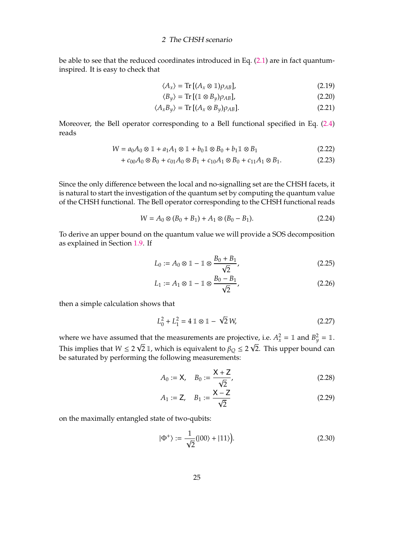be able to see that the reduced coordinates introduced in Eq. [\(2.1\)](#page-20-3) are in fact quantuminspired. It is easy to check that

$$
\langle A_x \rangle = \text{Tr} \left[ (A_x \otimes \mathbb{1}) \rho_{AB} \right], \tag{2.19}
$$

$$
\langle B_y \rangle = \text{Tr} \left[ (\mathbb{1} \otimes B_y) \rho_{AB} \right],\tag{2.20}
$$

$$
\langle A_x B_y \rangle = \text{Tr} \left[ (A_x \otimes B_y) \rho_{AB} \right]. \tag{2.21}
$$

Moreover, the Bell operator corresponding to a Bell functional specified in Eq. [\(2.4\)](#page-21-1) reads

$$
W = a_0 A_0 \otimes \mathbb{1} + a_1 A_1 \otimes \mathbb{1} + b_0 \mathbb{1} \otimes B_0 + b_1 \mathbb{1} \otimes B_1 \tag{2.22}
$$

$$
+ c_{00}A_0 \otimes B_0 + c_{01}A_0 \otimes B_1 + c_{10}A_1 \otimes B_0 + c_{11}A_1 \otimes B_1. \tag{2.23}
$$

Since the only difference between the local and no-signalling set are the CHSH facets, it is natural to start the investigation of the quantum set by computing the quantum value of the CHSH functional. The Bell operator corresponding to the CHSH functional reads

$$
W = A_0 \otimes (B_0 + B_1) + A_1 \otimes (B_0 - B_1). \tag{2.24}
$$

To derive an upper bound on the quantum value we will provide a SOS decomposition as explained in Section [1.9.](#page-17-0) If

<span id="page-24-0"></span>
$$
L_0 := A_0 \otimes 1 - 1 \otimes \frac{B_0 + B_1}{\sqrt{2}}, \tag{2.25}
$$

<span id="page-24-1"></span>
$$
L_1 := A_1 \otimes \mathbb{1} - \mathbb{1} \otimes \frac{B_0 - B_1}{\sqrt{2}},\tag{2.26}
$$

then a simple calculation shows that

$$
L_0^2 + L_1^2 = 4 \, \mathbb{1} \otimes \mathbb{1} - \sqrt{2} \, W,\tag{2.27}
$$

where we have assumed that the measurements are projective, i.e.  $A_x^2 = \mathbb{1}$  and  $B_y^2 = \mathbb{1}$ . This implies that  $W\leq 2\,\sqrt{2}$   $\mathbb{1}$ , which is equivalent to  $\beta_Q\leq 2\,\sqrt{2}.$  This upper bound can be saturated by performing the following measurements:

<span id="page-24-2"></span>
$$
A_0 := \mathsf{X}, \quad B_0 := \frac{\mathsf{X} + \mathsf{Z}}{\sqrt{2}}, \tag{2.28}
$$

<span id="page-24-3"></span>
$$
A_1 := \mathsf{Z}, \quad B_1 := \frac{\mathsf{X} - \mathsf{Z}}{\sqrt{2}} \tag{2.29}
$$

on the maximally entangled state of two-qubits:

<span id="page-24-4"></span>
$$
|\Phi^+\rangle := \frac{1}{\sqrt{2}}(|00\rangle + |11\rangle). \tag{2.30}
$$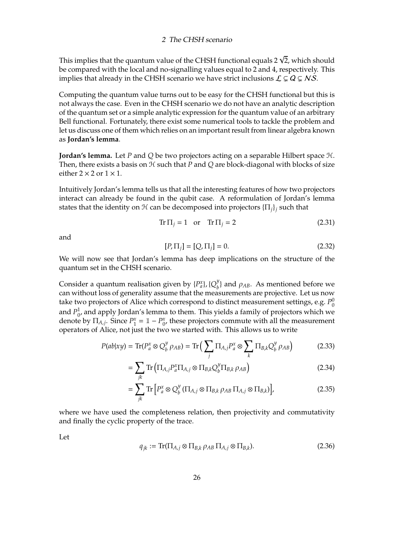This implies that the quantum value of the CHSH functional equals 2  $\sqrt{2}$ , which should be compared with the local and no-signalling values equal to 2 and 4, respectively. This implies that already in the CHSH scenario we have strict inclusions  $\mathcal{L} \subsetneq Q \subsetneq NS$ .

Computing the quantum value turns out to be easy for the CHSH functional but this is not always the case. Even in the CHSH scenario we do not have an analytic description of the quantum set or a simple analytic expression for the quantum value of an arbitrary Bell functional. Fortunately, there exist some numerical tools to tackle the problem and let us discuss one of them which relies on an important result from linear algebra known as **Jordan's lemma**.

**Jordan's lemma.** Let *P* and *Q* be two projectors acting on a separable Hilbert space H. Then, there exists a basis on  $H$  such that  $P$  and  $Q$  are block-diagonal with blocks of size either  $2 \times 2$  or  $1 \times 1$ .

Intuitively Jordan's lemma tells us that all the interesting features of how two projectors interact can already be found in the qubit case. A reformulation of Jordan's lemma states that the identity on  $\mathcal H$  can be decomposed into projectors  $\{\Pi_i\}$  such that

$$
Tr \Pi_j = 1 \quad \text{or} \quad Tr \Pi_j = 2 \tag{2.31}
$$

and

$$
[P, \Pi_j] = [Q, \Pi_j] = 0.
$$
\n(2.32)

We will now see that Jordan's lemma has deep implications on the structure of the quantum set in the CHSH scenario.

Consider a quantum realisation given by  $\{P_a^x\}$ ,  $\{Q_b^y\}$  $\binom{y}{b}$  and  $\rho_{AB}$ . As mentioned before we can without loss of generality assume that the measurements are projective. Let us now take two projectors of Alice which correspond to distinct measurement settings*,* e.g.  $P_0^0$  $\mathbf 0$ and  $P_0^1$  $_{0'}^1$  and apply Jordan's lemma to them. This yields a family of projectors which we denote by  $\Pi_{A,j}$ . Since  $P_1^x$  $I_1^x = 1 - P_0^x$  $\alpha_0^x$ , these projectors commute with all the measurement operators of Alice, not just the two we started with. This allows us to write

$$
P(ab|xy) = \text{Tr}(P_a^x \otimes Q_b^y \rho_{AB}) = \text{Tr}\left(\sum_j \Pi_{A,j} P_a^x \otimes \sum_k \Pi_{B,k} Q_b^y \rho_{AB}\right)
$$
(2.33)

$$
= \sum_{jk} \text{Tr} \left( \prod_{A,j} P_a^x \prod_{A,j} \otimes \prod_{B,k} Q_b^y \prod_{B,k} \rho_{AB} \right) \tag{2.34}
$$

$$
= \sum_{jk} \text{Tr} \left[ P_a^x \otimes Q_b^y \left( \Pi_{A,j} \otimes \Pi_{B,k} \rho_{AB} \Pi_{A,j} \otimes \Pi_{B,k} \right) \right], \tag{2.35}
$$

where we have used the completeness relation, then projectivity and commutativity and finally the cyclic property of the trace.

Let

<span id="page-25-0"></span>
$$
q_{jk} := \text{Tr}(\Pi_{A,j} \otimes \Pi_{B,k} \rho_{AB} \Pi_{A,j} \otimes \Pi_{B,k}).
$$
\n(2.36)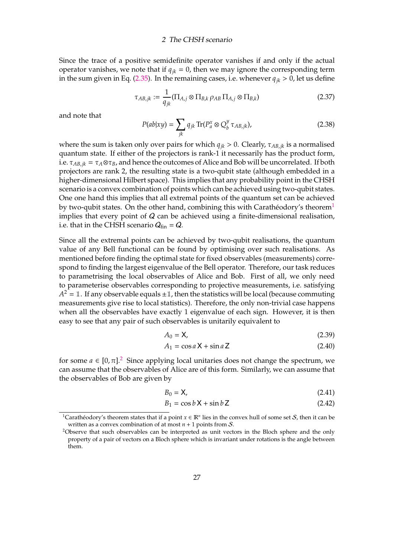Since the trace of a positive semidefinite operator vanishes if and only if the actual operator vanishes, we note that if  $q_{ik} = 0$ , then we may ignore the corresponding term in the sum given in Eq. [\(2.35\)](#page-25-0). In the remaining cases, i.e. whenever  $q_{ik} > 0$ , let us define

$$
\tau_{AB,jk} := \frac{1}{q_{jk}} (\Pi_{A,j} \otimes \Pi_{B,k} \rho_{AB} \Pi_{A,j} \otimes \Pi_{B,k})
$$
\n(2.37)

and note that

$$
P(ab|xy) = \sum_{jk} q_{jk} \operatorname{Tr}(P_a^x \otimes Q_b^y \tau_{AB,jk}), \qquad (2.38)
$$

where the sum is taken only over pairs for which  $q_{ik} > 0$ . Clearly,  $\tau_{AB,ik}$  is a normalised quantum state. If either of the projectors is rank-1 it necessarily has the product form, i.e.  $\tau_{AB,jk} = \tau_A \otimes \tau_B$ , and hence the outcomes of Alice and Bob will be uncorrelated. If both projectors are rank 2, the resulting state is a two-qubit state (although embedded in a higher-dimensional Hilbert space). This implies that any probability point in the CHSH scenario is a convex combination of points which can be achieved using two-qubit states. One one hand this implies that all extremal points of the quantum set can be achieved by two-qubit states. On the other hand, combining this with Carathéodory's theorem<sup>[1](#page-26-0)</sup> implies that every point of  $Q$  can be achieved using a finite-dimensional realisation, i.e. that in the CHSH scenario  $Q_{fin} = Q$ .

Since all the extremal points can be achieved by two-qubit realisations, the quantum value of any Bell functional can be found by optimising over such realisations. As mentioned before finding the optimal state for fixed observables (measurements) correspond to finding the largest eigenvalue of the Bell operator. Therefore, our task reduces to parametrising the local observables of Alice and Bob. First of all, we only need to parameterise observables corresponding to projective measurements, i.e. satisfying  $A^2 = \mathbb{1}$ . If any observable equals  $\pm \mathbb{1}$ , then the statistics will be local (because commuting measurements give rise to local statistics). Therefore, the only non-trivial case happens when all the observables have exactly 1 eigenvalue of each sign. However, it is then easy to see that any pair of such observables is unitarily equivalent to

$$
A_0 = \mathsf{X},\tag{2.39}
$$

$$
A_1 = \cos a \, \mathsf{X} + \sin a \, \mathsf{Z} \tag{2.40}
$$

for some  $a \in [0, \pi]$ .<sup>[2](#page-26-1)</sup> Since applying local unitaries does not change the spectrum, we can assume that the observables of Alice are of this form. Similarly, we can assume that the observables of Bob are given by

$$
B_0 = \mathsf{X},\tag{2.41}
$$

$$
B_1 = \cos b \, \mathsf{X} + \sin b \, \mathsf{Z} \tag{2.42}
$$

<span id="page-26-0"></span><sup>&</sup>lt;sup>1</sup>Carathéodory's theorem states that if a point  $x \in \mathbb{R}^n$  lies in the convex hull of some set  $S$ , then it can be written as a convex combination of at most  $n + 1$  points from S.

<span id="page-26-1"></span><sup>&</sup>lt;sup>2</sup>Observe that such observables can be interpreted as unit vectors in the Bloch sphere and the only property of a pair of vectors on a Bloch sphere which is invariant under rotations is the angle between them.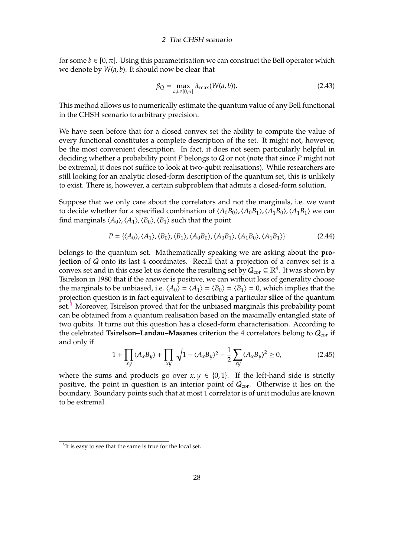for some  $b \in [0, \pi]$ . Using this parametrisation we can construct the Bell operator which we denote by *W*(*a*, *b*). It should now be clear that

$$
\beta_Q = \max_{a,b \in [0,\pi]} \lambda_{\max}(W(a,b)).
$$
\n(2.43)

This method allows us to numerically estimate the quantum value of any Bell functional in the CHSH scenario to arbitrary precision.

We have seen before that for a closed convex set the ability to compute the value of every functional constitutes a complete description of the set. It might not, however, be the most convenient description. In fact, it does not seem particularly helpful in deciding whether a probability point *P* belongs to Q or not (note that since *P* might not be extremal, it does not suffice to look at two-qubit realisations). While researchers are still looking for an analytic closed-form description of the quantum set, this is unlikely to exist. There is, however, a certain subproblem that admits a closed-form solution.

Suppose that we only care about the correlators and not the marginals, i.e. we want to decide whether for a specified combination of  $\langle A_0B_0\rangle$ ,  $\langle A_0B_1\rangle$ ,  $\langle A_1B_0\rangle$ ,  $\langle A_1B_1\rangle$  we can find marginals  $\langle A_0 \rangle$ ,  $\langle A_1 \rangle$ ,  $\langle B_0 \rangle$ ,  $\langle B_1 \rangle$  such that the point

$$
P = \{ \langle A_0 \rangle, \langle A_1 \rangle, \langle B_0 \rangle, \langle B_1 \rangle, \langle A_0 B_0 \rangle, \langle A_0 B_1 \rangle, \langle A_1 B_0 \rangle, \langle A_1 B_1 \rangle \}
$$
(2.44)

belongs to the quantum set. Mathematically speaking we are asking about the **projection** of Q onto its last 4 coordinates. Recall that a projection of a convex set is a convex set and in this case let us denote the resulting set by  $Q_{\textrm{cor}}\subseteq \mathbb{R}^4.$  It was shown by Tsirelson in 1980 that if the answer is positive, we can without loss of generality choose the marginals to be unbiased, i.e.  $\langle A_0 \rangle = \langle A_1 \rangle = \langle B_0 \rangle = \langle B_1 \rangle = 0$ , which implies that the projection question is in fact equivalent to describing a particular **slice** of the quantum set.<sup>[3](#page-27-0)</sup> Moreover, Tsirelson proved that for the unbiased marginals this probability point can be obtained from a quantum realisation based on the maximally entangled state of two qubits. It turns out this question has a closed-form characterisation. According to the celebrated **Tsirelson-Landau-Masanes** criterion the 4 correlators belong to  $Q_{cor}$  if and only if

$$
1 + \prod_{xy} \langle A_x B_y \rangle + \prod_{xy} \sqrt{1 - \langle A_x B_y \rangle^2} - \frac{1}{2} \sum_{xy} \langle A_x B_y \rangle^2 \ge 0,
$$
 (2.45)

where the sums and products go over  $x, y \in \{0, 1\}$ . If the left-hand side is strictly positive, the point in question is an interior point of  $Q_{cor}$ . Otherwise it lies on the boundary. Boundary points such that at most 1 correlator is of unit modulus are known to be extremal.

<span id="page-27-0"></span> $3$ It is easy to see that the same is true for the local set.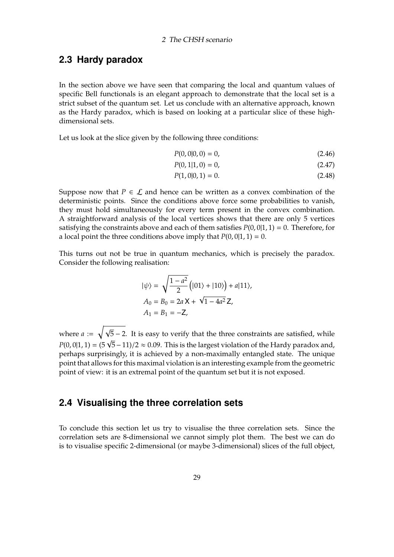## <span id="page-28-0"></span>**2.3 Hardy paradox**

In the section above we have seen that comparing the local and quantum values of specific Bell functionals is an elegant approach to demonstrate that the local set is a strict subset of the quantum set. Let us conclude with an alternative approach, known as the Hardy paradox, which is based on looking at a particular slice of these highdimensional sets.

Let us look at the slice given by the following three conditions:

$$
P(0,0|0,0) = 0,\t(2.46)
$$

$$
P(0, 1|1, 0) = 0,\t(2.47)
$$

$$
P(1,0|0,1) = 0.\t(2.48)
$$

Suppose now that  $P \in \mathcal{L}$  and hence can be written as a convex combination of the deterministic points. Since the conditions above force some probabilities to vanish, they must hold simultaneously for every term present in the convex combination. A straightforward analysis of the local vertices shows that there are only 5 vertices satisfying the constraints above and each of them satisfies  $P(0, 0|1, 1) = 0$ . Therefore, for a local point the three conditions above imply that  $P(0, 0|1, 1) = 0$ .

This turns out not be true in quantum mechanics, which is precisely the paradox. Consider the following realisation:

$$
|\psi\rangle = \sqrt{\frac{1 - a^2}{2}} (|01\rangle + |10\rangle) + a|11\rangle,
$$
  
\n
$$
A_0 = B_0 = 2a \mathbf{X} + \sqrt{1 - 4a^2} \mathbf{Z},
$$
  
\n
$$
A_1 = B_1 = -\mathbf{Z},
$$

where *a* :=  $\sqrt{ }$  $\overline{5}$  – 2. It is easy to verify that the three constraints are satisfied, while *P*(0, 0|1, 1) = (5  $\sqrt{5}$  – 11)/2  $\approx$  0.09. This is the largest violation of the Hardy paradox and, perhaps surprisingly, it is achieved by a non-maximally entangled state. The unique point that allows for this maximal violation is an interesting example from the geometric point of view: it is an extremal point of the quantum set but it is not exposed.

### <span id="page-28-1"></span>**2.4 Visualising the three correlation sets**

To conclude this section let us try to visualise the three correlation sets. Since the correlation sets are 8-dimensional we cannot simply plot them. The best we can do is to visualise specific 2-dimensional (or maybe 3-dimensional) slices of the full object,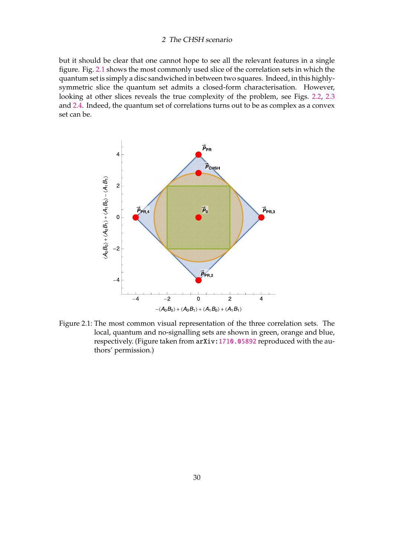but it should be clear that one cannot hope to see all the relevant features in a single figure. Fig. [2.1](#page-29-0) shows the most commonly used slice of the correlation sets in which the quantum set is simply a disc sandwiched in between two squares. Indeed, in this highlysymmetric slice the quantum set admits a closed-form characterisation. However, looking at other slices reveals the true complexity of the problem, see Figs. [2.2,](#page-30-0) [2.3](#page-31-0) and [2.4.](#page-32-0) Indeed, the quantum set of correlations turns out to be as complex as a convex set can be.



<span id="page-29-0"></span>Figure 2.1: The most common visual representation of the three correlation sets. The local, quantum and no-signalling sets are shown in green, orange and blue, respectively. (Figure taken from arXiv: 1710.05892 reproduced with the authors' permission.)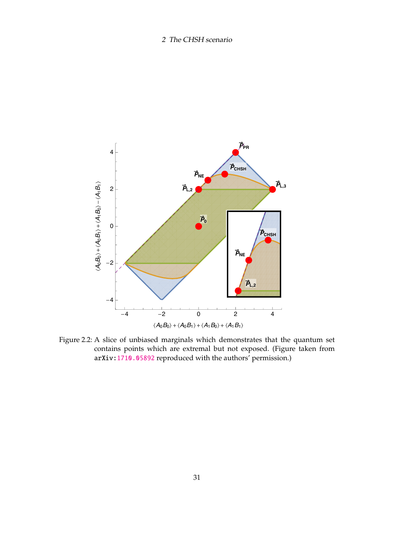

<span id="page-30-0"></span>Figure 2.2: A slice of unbiased marginals which demonstrates that the quantum set contains points which are extremal but not exposed. (Figure taken from arXiv: 1710.05892 reproduced with the authors' permission.)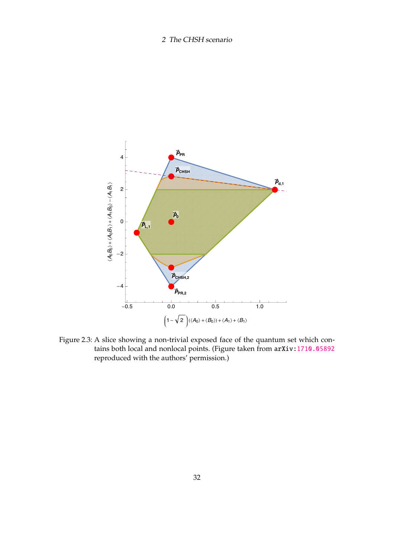

<span id="page-31-0"></span>Figure 2.3: A slice showing a non-trivial exposed face of the quantum set which contains both local and nonlocal points. (Figure taken from arXiv: 1710.05892 reproduced with the authors' permission.)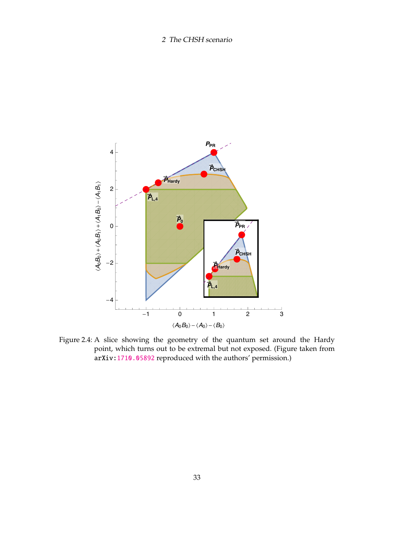

<span id="page-32-0"></span>Figure 2.4: A slice showing the geometry of the quantum set around the Hardy point, which turns out to be extremal but not exposed. (Figure taken from arXiv: 1710.05892 reproduced with the authors' permission.)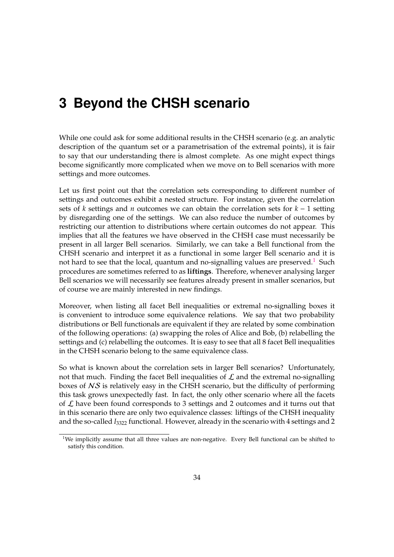<span id="page-33-0"></span>While one could ask for some additional results in the CHSH scenario (e.g. an analytic description of the quantum set or a parametrisation of the extremal points), it is fair to say that our understanding there is almost complete. As one might expect things become significantly more complicated when we move on to Bell scenarios with more settings and more outcomes.

Let us first point out that the correlation sets corresponding to different number of settings and outcomes exhibit a nested structure. For instance, given the correlation sets of *k* settings and *n* outcomes we can obtain the correlation sets for *k* − 1 setting by disregarding one of the settings. We can also reduce the number of outcomes by restricting our attention to distributions where certain outcomes do not appear. This implies that all the features we have observed in the CHSH case must necessarily be present in all larger Bell scenarios. Similarly, we can take a Bell functional from the CHSH scenario and interpret it as a functional in some larger Bell scenario and it is not hard to see that the local, quantum and no-signalling values are preserved.<sup>[1](#page-33-1)</sup> Such procedures are sometimes referred to as **liftings**. Therefore, whenever analysing larger Bell scenarios we will necessarily see features already present in smaller scenarios, but of course we are mainly interested in new findings.

Moreover, when listing all facet Bell inequalities or extremal no-signalling boxes it is convenient to introduce some equivalence relations. We say that two probability distributions or Bell functionals are equivalent if they are related by some combination of the following operations: (a) swapping the roles of Alice and Bob, (b) relabelling the settings and (c) relabelling the outcomes. It is easy to see that all 8 facet Bell inequalities in the CHSH scenario belong to the same equivalence class.

So what is known about the correlation sets in larger Bell scenarios? Unfortunately, not that much. Finding the facet Bell inequalities of  $\mathcal L$  and the extremal no-signalling boxes of NS is relatively easy in the CHSH scenario, but the difficulty of performing this task grows unexpectedly fast. In fact, the only other scenario where all the facets of  $\mathcal L$  have been found corresponds to 3 settings and 2 outcomes and it turns out that in this scenario there are only two equivalence classes: liftings of the CHSH inequality and the so-called *I*<sup>3322</sup> functional. However, already in the scenario with 4 settings and 2

<span id="page-33-1"></span><sup>&</sup>lt;sup>1</sup>We implicitly assume that all three values are non-negative. Every Bell functional can be shifted to satisfy this condition.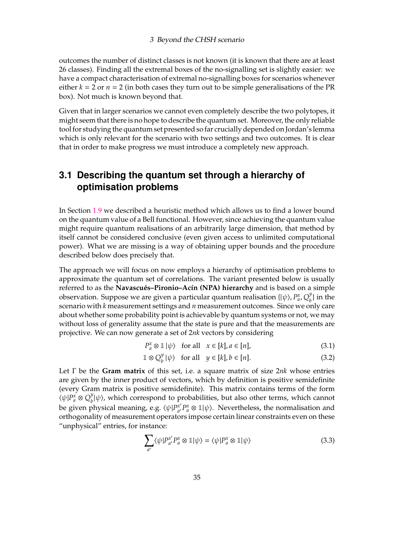outcomes the number of distinct classes is not known (it is known that there are at least 26 classes). Finding all the extremal boxes of the no-signalling set is slightly easier: we have a compact characterisation of extremal no-signalling boxes for scenarios whenever either  $k = 2$  or  $n = 2$  (in both cases they turn out to be simple generalisations of the PR box). Not much is known beyond that.

Given that in larger scenarios we cannot even completely describe the two polytopes, it might seem that there is no hope to describe the quantum set. Moreover, the only reliable tool for studying the quantum set presented so far crucially depended on Jordan's lemma which is only relevant for the scenario with two settings and two outcomes. It is clear that in order to make progress we must introduce a completely new approach.

## <span id="page-34-0"></span>**3.1 Describing the quantum set through a hierarchy of optimisation problems**

In Section [1.9](#page-17-0) we described a heuristic method which allows us to find a lower bound on the quantum value of a Bell functional. However, since achieving the quantum value might require quantum realisations of an arbitrarily large dimension, that method by itself cannot be considered conclusive (even given access to unlimited computational power). What we are missing is a way of obtaining upper bounds and the procedure described below does precisely that.

The approach we will focus on now employs a hierarchy of optimisation problems to approximate the quantum set of correlations. The variant presented below is usually referred to as the **Navascués–Pironio–Acín (NPA) hierarchy** and is based on a simple observation. Suppose we are given a particular quantum realisation  $\{\ket{\psi}, P^x_a, Q^y_b\}$  $\binom{y}{b}$  in the scenario with *k* measurement settings and *n* measurement outcomes. Since we only care about whether some probability point is achievable by quantum systems or not, we may without loss of generality assume that the state is pure and that the measurements are projective. We can now generate a set of 2*nk* vectors by considering

$$
P_a^x \otimes \mathbb{1} \mid \psi \rangle \quad \text{for all} \quad x \in [k], a \in [n], \tag{3.1}
$$

$$
\mathbb{1} \otimes Q_b^y | \psi \rangle \quad \text{for all} \quad y \in [k], b \in [n]. \tag{3.2}
$$

Let Γ be the **Gram matrix** of this set, i.e. a square matrix of size 2*nk* whose entries are given by the inner product of vectors, which by definition is positive semidefinite (every Gram matrix is positive semidefinite). This matrix contains terms of the form  $\langle \psi | P_a^x \otimes Q_b^y \rangle$  $\psi_b^y|\psi\rangle$ , which correspond to probabilities, but also other terms, which cannot be given physical meaning, e.g.  $\langle \psi | P_{a'}^{x'} \rangle$  $\alpha'$   $P_a^x \otimes \mathbb{1}$   $|\psi\rangle$ . Nevertheless, the normalisation and orthogonality of measurement operators impose certain linear constraints even on these "unphysical" entries, for instance:

$$
\sum_{a'} \langle \psi | P_{a'}^{x'} P_a^x \otimes \mathbb{1} | \psi \rangle = \langle \psi | P_a^x \otimes \mathbb{1} | \psi \rangle \tag{3.3}
$$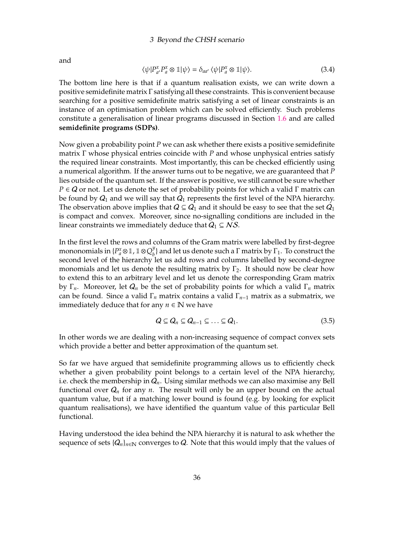and

$$
\langle \psi | P_{a'}^x P_a^x \otimes \mathbb{1} | \psi \rangle = \delta_{aa'} \langle \psi | P_a^x \otimes \mathbb{1} | \psi \rangle. \tag{3.4}
$$

The bottom line here is that if a quantum realisation exists, we can write down a positive semidefinite matrix Γ satisfying all these constraints. This is convenient because searching for a positive semidefinite matrix satisfying a set of linear constraints is an instance of an optimisation problem which can be solved efficiently. Such problems constitute a generalisation of linear programs discussed in Section [1.6](#page-12-0) and are called **semidefinite programs (SDPs)**.

Now given a probability point *P* we can ask whether there exists a positive semidefinite matrix Γ whose physical entries coincide with *P* and whose unphysical entries satisfy the required linear constraints. Most importantly, this can be checked efficiently using a numerical algorithm. If the answer turns out to be negative, we are guaranteed that *P* lies outside of the quantum set. If the answer is positive, we still cannot be sure whether  $P \in \mathcal{Q}$  or not. Let us denote the set of probability points for which a valid Γ matrix can be found by  $Q_1$  and we will say that  $Q_1$  represents the first level of the NPA hierarchy. The observation above implies that  $Q \subseteq Q_1$  and it should be easy to see that the set  $Q_1$ is compact and convex. Moreover, since no-signalling conditions are included in the linear constraints we immediately deduce that  $Q_1 \subseteq NS$ .

In the first level the rows and columns of the Gram matrix were labelled by first-degree mononomials in { $P_a^x \otimes \mathbb{1}$ ,  $\mathbb{1} \otimes Q_b^y$  $\binom{y}{b}$  and let us denote such a  $\Gamma$  matrix by  $\Gamma_1$ . To construct the second level of the hierarchy let us add rows and columns labelled by second-degree monomials and let us denote the resulting matrix by  $\Gamma_2$ . It should now be clear how to extend this to an arbitrary level and let us denote the corresponding Gram matrix by  $\Gamma_n$ . Moreover, let  $Q_n$  be the set of probability points for which a valid  $\Gamma_n$  matrix can be found. Since a valid Γ*<sup>n</sup>* matrix contains a valid Γ*n*−<sup>1</sup> matrix as a submatrix, we immediately deduce that for any  $n \in \mathbb{N}$  we have

$$
Q \subseteq Q_n \subseteq Q_{n-1} \subseteq \ldots \subseteq Q_1. \tag{3.5}
$$

In other words we are dealing with a non-increasing sequence of compact convex sets which provide a better and better approximation of the quantum set.

So far we have argued that semidefinite programming allows us to efficiently check whether a given probability point belongs to a certain level of the NPA hierarchy, i.e. check the membership in Q*n*. Using similar methods we can also maximise any Bell functional over  $Q_n$  for any *n*. The result will only be an upper bound on the actual quantum value, but if a matching lower bound is found (e.g. by looking for explicit quantum realisations), we have identified the quantum value of this particular Bell functional.

Having understood the idea behind the NPA hierarchy it is natural to ask whether the sequence of sets  $\{Q_n\}_{n\in\mathbb{N}}$  converges to Q. Note that this would imply that the values of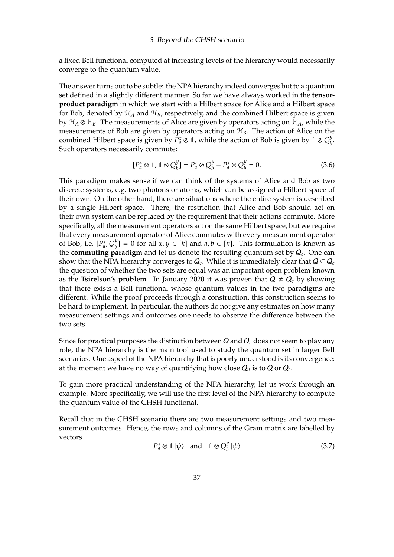a fixed Bell functional computed at increasing levels of the hierarchy would necessarily converge to the quantum value.

The answer turns out to be subtle: the NPA hierarchy indeed converges but to a quantum set defined in a slightly different manner. So far we have always worked in the **tensorproduct paradigm** in which we start with a Hilbert space for Alice and a Hilbert space for Bob, denoted by  $\mathcal{H}_A$  and  $\mathcal{H}_B$ , respectively, and the combined Hilbert space is given by  $\mathcal{H}_A \otimes \mathcal{H}_B$ . The measurements of Alice are given by operators acting on  $\mathcal{H}_A$ , while the measurements of Bob are given by operators acting on H*B*. The action of Alice on the combined Hilbert space is given by  $P_a^x \otimes \mathbb{1}$ , while the action of Bob is given by  $\mathbb{1} \otimes Q_b^y$ *b* . Such operators necessarily commute:

$$
[P_a^x \otimes \mathbb{1}, \mathbb{1} \otimes Q_b^y] = P_a^x \otimes Q_b^y - P_a^x \otimes Q_b^y = 0.
$$
 (3.6)

This paradigm makes sense if we can think of the systems of Alice and Bob as two discrete systems, e.g. two photons or atoms, which can be assigned a Hilbert space of their own. On the other hand, there are situations where the entire system is described by a single Hilbert space. There, the restriction that Alice and Bob should act on their own system can be replaced by the requirement that their actions commute. More specifically, all the measurement operators act on the same Hilbert space, but we require that every measurement operator of Alice commutes with every measurement operator of Bob, i.e.  $[P^x_a, Q^y_b]$  $b^y$ <sub> $b$ </sub> = 0 for all *x*, *y* ∈ [*k*] and *a*, *b* ∈ [*n*]. This formulation is known as the **commuting paradigm** and let us denote the resulting quantum set by Q*<sup>c</sup>* . One can show that the NPA hierarchy converges to  $Q_c$ . While it is immediately clear that  $Q \subseteq Q_c$ the question of whether the two sets are equal was an important open problem known as the **Tsirelson's problem**. In January 2020 it was proven that  $Q \neq Q_c$  by showing that there exists a Bell functional whose quantum values in the two paradigms are different. While the proof proceeds through a construction, this construction seems to be hard to implement. In particular, the authors do not give any estimates on how many measurement settings and outcomes one needs to observe the difference between the two sets.

Since for practical purposes the distinction between Q and Q*<sup>c</sup>* does not seem to play any role, the NPA hierarchy is the main tool used to study the quantum set in larger Bell scenarios. One aspect of the NPA hierarchy that is poorly understood is its convergence: at the moment we have no way of quantifying how close  $Q_n$  is to  $Q$  or  $Q_c$ .

To gain more practical understanding of the NPA hierarchy, let us work through an example. More specifically, we will use the first level of the NPA hierarchy to compute the quantum value of the CHSH functional.

Recall that in the CHSH scenario there are two measurement settings and two measurement outcomes. Hence, the rows and columns of the Gram matrix are labelled by vectors

<span id="page-36-0"></span>
$$
P_a^x \otimes \mathbb{1} \mid \psi \rangle \quad \text{and} \quad \mathbb{1} \otimes Q_b^y \mid \psi \rangle \tag{3.7}
$$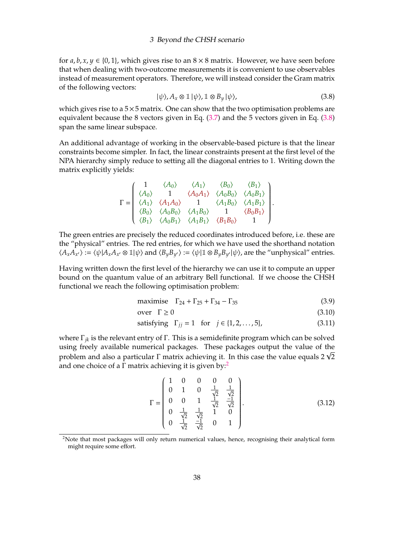for  $a, b, x, y \in \{0, 1\}$ , which gives rise to an  $8 \times 8$  matrix. However, we have seen before that when dealing with two-outcome measurements it is convenient to use observables instead of measurement operators. Therefore, we will instead consider the Gram matrix of the following vectors:

<span id="page-37-0"></span>
$$
|\psi\rangle, A_x \otimes \mathbb{1} |\psi\rangle, \mathbb{1} \otimes B_y |\psi\rangle,
$$
\n(3.8)

which gives rise to a  $5\times 5$  matrix. One can show that the two optimisation problems are equivalent because the 8 vectors given in Eq.  $(3.7)$  and the 5 vectors given in Eq.  $(3.8)$ span the same linear subspace.

An additional advantage of working in the observable-based picture is that the linear constraints become simpler. In fact, the linear constraints present at the first level of the NPA hierarchy simply reduce to setting all the diagonal entries to 1. Writing down the matrix explicitly yields:

$$
\Gamma = \begin{pmatrix}\n1 & \langle A_0 \rangle & \langle A_1 \rangle & \langle B_0 \rangle & \langle B_1 \rangle \\
\langle A_0 \rangle & 1 & \langle A_0 A_1 \rangle & \langle A_0 B_0 \rangle & \langle A_0 B_1 \rangle \\
\langle A_1 \rangle & \langle A_1 A_0 \rangle & 1 & \langle A_1 B_0 \rangle & \langle A_1 B_1 \rangle \\
\langle B_0 \rangle & \langle A_0 B_0 \rangle & \langle A_1 B_0 \rangle & 1 & \langle B_0 B_1 \rangle \\
\langle B_1 \rangle & \langle A_0 B_1 \rangle & \langle A_1 B_1 \rangle & \langle B_1 B_0 \rangle & 1\n\end{pmatrix}.
$$

The green entries are precisely the reduced coordinates introduced before, i.e. these are the "physical" entries. The red entries, for which we have used the shorthand notation  $\langle A_x A_x \rangle := \langle \psi | A_x A_{x'} \otimes \mathbb{1} | \psi \rangle$  and  $\langle B_y B_{y'} \rangle := \langle \psi | \mathbb{1} \otimes B_y B_{y'} | \psi \rangle$ , are the "unphysical" entries.

Having written down the first level of the hierarchy we can use it to compute an upper bound on the quantum value of an arbitrary Bell functional. If we choose the CHSH functional we reach the following optimisation problem:

maximise 
$$
\Gamma_{24} + \Gamma_{25} + \Gamma_{34} - \Gamma_{35}
$$
 (3.9)

$$
over \Gamma \ge 0 \tag{3.10}
$$

satisfying 
$$
\Gamma_{jj} = 1
$$
 for  $j \in \{1, 2, ..., 5\}$ , (3.11)

where Γ*jk* is the relevant entry of Γ. This is a semidefinite program which can be solved using freely available numerical packages. These packages output the value of the using freely available numerical packages. These packages output the value of the<br>problem and also a particular  $\Gamma$  matrix achieving it. In this case the value equals 2  $\sqrt{2}$ and one choice of a  $\Gamma$  matrix achieving it is given by:<sup>[2](#page-37-1)</sup>

<span id="page-37-2"></span>
$$
\Gamma = \begin{pmatrix}\n1 & 0 & 0 & 0 & 0 \\
0 & 1 & 0 & \frac{1}{\sqrt{2}} & \frac{1}{\sqrt{2}} \\
0 & 0 & 1 & \frac{1}{\sqrt{2}} & \frac{-1}{\sqrt{2}} \\
0 & \frac{1}{\sqrt{2}} & \frac{1}{\sqrt{2}} & 1 & 0 \\
0 & \frac{1}{\sqrt{2}} & \frac{-1}{\sqrt{2}} & 0 & 1\n\end{pmatrix}.
$$
\n(3.12)

<span id="page-37-1"></span><sup>&</sup>lt;sup>2</sup>Note that most packages will only return numerical values, hence, recognising their analytical form might require some effort.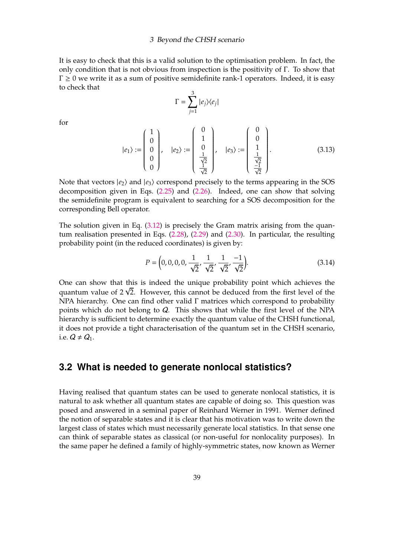It is easy to check that this is a valid solution to the optimisation problem. In fact, the only condition that is not obvious from inspection is the positivity of Γ. To show that  $\Gamma \geq 0$  we write it as a sum of positive semidefinite rank-1 operators. Indeed, it is easy to check that

$$
\Gamma = \sum_{j=1}^{3} |e_j\rangle\langle e_j|
$$

for

$$
|e_1\rangle := \begin{pmatrix} 1 \\ 0 \\ 0 \\ 0 \\ 0 \end{pmatrix}, \quad |e_2\rangle := \begin{pmatrix} 0 \\ 1 \\ 0 \\ \frac{1}{\sqrt{2}} \\ \frac{1}{\sqrt{2}} \end{pmatrix}, \quad |e_3\rangle := \begin{pmatrix} 0 \\ 0 \\ 1 \\ \frac{1}{\sqrt{2}} \\ \frac{-1}{\sqrt{2}} \end{pmatrix}.
$$
 (3.13)

Note that vectors  $|e_2\rangle$  and  $|e_3\rangle$  correspond precisely to the terms appearing in the SOS decomposition given in Eqs. [\(2.25\)](#page-24-0) and [\(2.26\)](#page-24-1). Indeed, one can show that solving the semidefinite program is equivalent to searching for a SOS decomposition for the corresponding Bell operator.

The solution given in Eq.  $(3.12)$  is precisely the Gram matrix arising from the quantum realisation presented in Eqs. [\(2.28\)](#page-24-2), [\(2.29\)](#page-24-3) and [\(2.30\)](#page-24-4). In particular, the resulting probability point (in the reduced coordinates) is given by:

<span id="page-38-1"></span>
$$
P = \left(0, 0, 0, 0, \frac{1}{\sqrt{2}}, \frac{1}{\sqrt{2}}, \frac{1}{\sqrt{2}}, \frac{-1}{\sqrt{2}}\right).
$$
 (3.14)

One can show that this is indeed the unique probability point which achieves the One can show that this is indeed the unique probability point which achieves the quantum value of  $2\sqrt{2}$ . However, this cannot be deduced from the first level of the NPA hierarchy. One can find other valid Γ matrices which correspond to probability points which do not belong to Q. This shows that while the first level of the NPA hierarchy is sufficient to determine exactly the quantum value of the CHSH functional, it does not provide a tight characterisation of the quantum set in the CHSH scenario, i.e.  $Q \neq Q_1$ .

### <span id="page-38-0"></span>**3.2 What is needed to generate nonlocal statistics?**

Having realised that quantum states can be used to generate nonlocal statistics, it is natural to ask whether all quantum states are capable of doing so. This question was posed and answered in a seminal paper of Reinhard Werner in 1991. Werner defined the notion of separable states and it is clear that his motivation was to write down the largest class of states which must necessarily generate local statistics. In that sense one can think of separable states as classical (or non-useful for nonlocality purposes). In the same paper he defined a family of highly-symmetric states, now known as Werner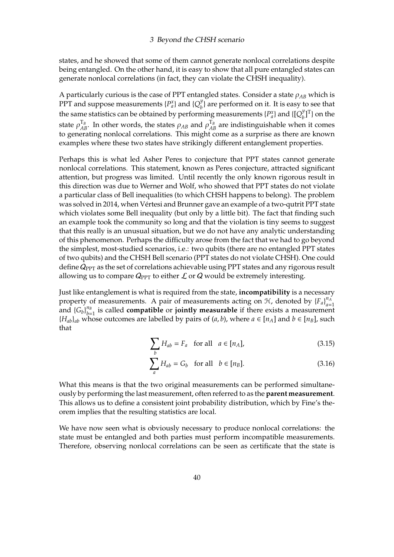states, and he showed that some of them cannot generate nonlocal correlations despite being entangled. On the other hand, it is easy to show that all pure entangled states can generate nonlocal correlations (in fact, they can violate the CHSH inequality).

A particularly curious is the case of PPT entangled states. Consider a state  $\rho_{AB}$  which is PPT and suppose measurements  $\{P_a^x\}$  and  $\{Q_b^y\}$  $\binom{y}{b}$  are performed on it. It is easy to see that the same statistics can be obtained by performing measurements  $\{P_a^x\}$  and  $\{[Q_b^y]$  $_{b}^{y}$ ]<sup>T</sup>} on the state  $\rho_{AB}^{T_B}$ . In other words, the states  $\rho_{AB}$  and  $\rho_{AB}^{T_B}$  are indistinguishable when it comes to generating nonlocal correlations. This might come as a surprise as there are known examples where these two states have strikingly different entanglement properties.

Perhaps this is what led Asher Peres to conjecture that PPT states cannot generate nonlocal correlations. This statement, known as Peres conjecture, attracted significant attention, but progress was limited. Until recently the only known rigorous result in this direction was due to Werner and Wolf, who showed that PPT states do not violate a particular class of Bell inequalities (to which CHSH happens to belong). The problem was solved in 2014, when Vértesi and Brunner gave an example of a two-qutrit PPT state which violates some Bell inequality (but only by a little bit). The fact that finding such an example took the community so long and that the violation is tiny seems to suggest that this really is an unusual situation, but we do not have any analytic understanding of this phenomenon. Perhaps the difficulty arose from the fact that we had to go beyond the simplest, most-studied scenarios, i.e.: two qubits (there are no entangled PPT states of two qubits) and the CHSH Bell scenario (PPT states do not violate CHSH). One could define  $Q_{\text{PPT}}$  as the set of correlations achievable using PPT states and any rigorous result allowing us to compare  $Q_{PT}$  to either  $\mathcal L$  or  $Q$  would be extremely interesting.

Just like entanglement is what is required from the state, **incompatibility** is a necessary property of measurements. A pair of measurements acting on  $H$ , denoted by  ${F_a}_{a=1}^{n_A}$ *a*=1 and  ${G_b}^{n_B}_{b=1}$ *b*=1 is called **compatible** or **jointly measurable** if there exists a measurement {*Hab*}*ab* whose outcomes are labelled by pairs of (*a*, *b*), where *a* ∈ [*nA*] and *b* ∈ [*nB*], such that

$$
\sum_{b} H_{ab} = F_a \quad \text{for all} \quad a \in [n_A], \tag{3.15}
$$

$$
\sum_{a} H_{ab} = G_b \quad \text{for all} \quad b \in [n_B]. \tag{3.16}
$$

What this means is that the two original measurements can be performed simultaneously by performing the last measurement, often referred to as the **parent measurement**. This allows us to define a consistent joint probability distribution, which by Fine's theorem implies that the resulting statistics are local.

We have now seen what is obviously necessary to produce nonlocal correlations: the state must be entangled and both parties must perform incompatible measurements. Therefore, observing nonlocal correlations can be seen as certificate that the state is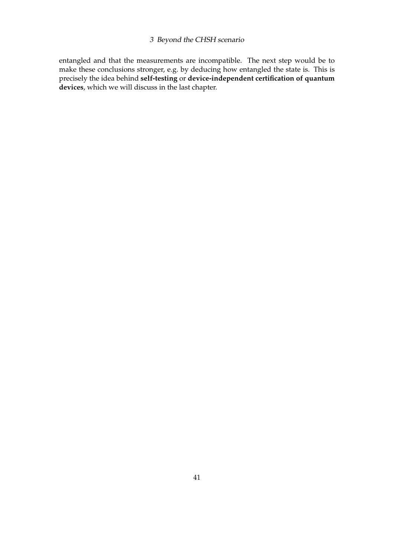entangled and that the measurements are incompatible. The next step would be to make these conclusions stronger, e.g. by deducing how entangled the state is. This is precisely the idea behind **self-testing** or **device-independent certification of quantum devices**, which we will discuss in the last chapter.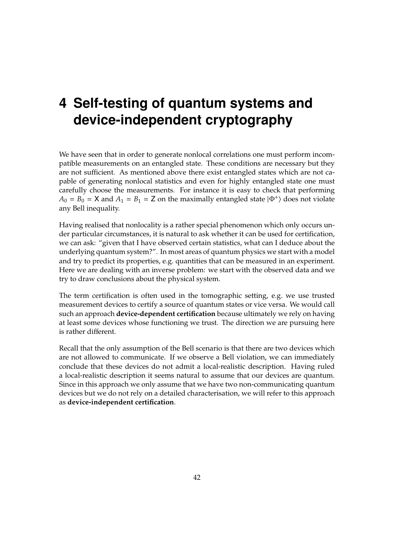## <span id="page-41-0"></span>**4 Self-testing of quantum systems and device-independent cryptography**

We have seen that in order to generate nonlocal correlations one must perform incompatible measurements on an entangled state. These conditions are necessary but they are not sufficient. As mentioned above there exist entangled states which are not capable of generating nonlocal statistics and even for highly entangled state one must carefully choose the measurements. For instance it is easy to check that performing  $A_0 = B_0 = X$  and  $A_1 = B_1 = Z$  on the maximally entangled state  $|\Phi^+\rangle$  does not violate any Bell inequality.

Having realised that nonlocality is a rather special phenomenon which only occurs under particular circumstances, it is natural to ask whether it can be used for certification, we can ask: "given that I have observed certain statistics, what can I deduce about the underlying quantum system?". In most areas of quantum physics we start with a model and try to predict its properties, e.g. quantities that can be measured in an experiment. Here we are dealing with an inverse problem: we start with the observed data and we try to draw conclusions about the physical system.

The term certification is often used in the tomographic setting, e.g. we use trusted measurement devices to certify a source of quantum states or vice versa. We would call such an approach **device-dependent certification** because ultimately we rely on having at least some devices whose functioning we trust. The direction we are pursuing here is rather different.

Recall that the only assumption of the Bell scenario is that there are two devices which are not allowed to communicate. If we observe a Bell violation, we can immediately conclude that these devices do not admit a local-realistic description. Having ruled a local-realistic description it seems natural to assume that our devices are quantum. Since in this approach we only assume that we have two non-communicating quantum devices but we do not rely on a detailed characterisation, we will refer to this approach as **device-independent certification**.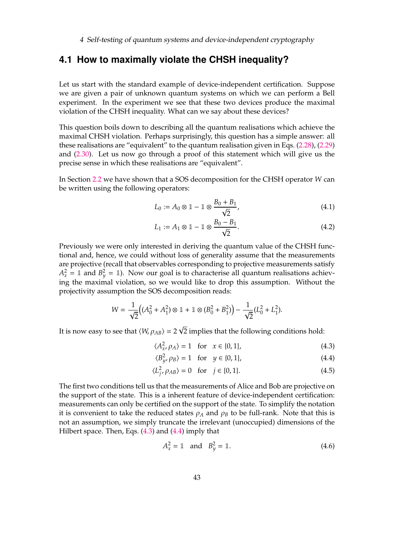## <span id="page-42-0"></span>**4.1 How to maximally violate the CHSH inequality?**

Let us start with the standard example of device-independent certification. Suppose we are given a pair of unknown quantum systems on which we can perform a Bell experiment. In the experiment we see that these two devices produce the maximal violation of the CHSH inequality. What can we say about these devices?

This question boils down to describing all the quantum realisations which achieve the maximal CHSH violation. Perhaps surprisingly, this question has a simple answer: all these realisations are "equivalent" to the quantum realisation given in Eqs. [\(2.28\)](#page-24-2), [\(2.29\)](#page-24-3) and [\(2.30\)](#page-24-4). Let us now go through a proof of this statement which will give us the precise sense in which these realisations are "equivalent".

In Section [2.2](#page-23-0) we have shown that a SOS decomposition for the CHSH operator *W* can be written using the following operators:

$$
L_0 := A_0 \otimes \mathbb{1} - \mathbb{1} \otimes \frac{B_0 + B_1}{\sqrt{2}},\tag{4.1}
$$

$$
L_1 := A_1 \otimes \mathbb{1} - \mathbb{1} \otimes \frac{B_0 - B_1}{\sqrt{2}}.
$$
\n
$$
(4.2)
$$

Previously we were only interested in deriving the quantum value of the CHSH functional and, hence, we could without loss of generality assume that the measurements are projective (recall that observables corresponding to projective measurements satisfy  $A_x^2 = \mathbb{1}$  and  $B_y^2 = \mathbb{1}$ ). Now our goal is to characterise all quantum realisations achieving the maximal violation, so we would like to drop this assumption. Without the projectivity assumption the SOS decomposition reads:

$$
W = \frac{1}{\sqrt{2}} \Big( (A_0^2 + A_1^2) \otimes \mathbb{1} + \mathbb{1} \otimes (B_0^2 + B_1^2) \Big) - \frac{1}{\sqrt{2}} (L_0^2 + L_1^2).
$$

It is now easy to see that  $\langle W, \rho_{AB} \rangle = 2$ 2 implies that the following conditions hold:

<span id="page-42-3"></span><span id="page-42-2"></span><span id="page-42-1"></span>
$$
\langle A_{x}^{2}, \rho_{A} \rangle = 1 \quad \text{for} \quad x \in \{0, 1\},\tag{4.3}
$$

$$
\langle B_{y}^2, \rho_B \rangle = 1 \quad \text{for} \quad y \in \{0, 1\},\tag{4.4}
$$

$$
\langle L_{j'}^2 \rho_{AB} \rangle = 0 \quad \text{for} \quad j \in \{0, 1\}. \tag{4.5}
$$

The first two conditions tell us that the measurements of Alice and Bob are projective on the support of the state. This is a inherent feature of device-independent certification: measurements can only be certified on the support of the state. To simplify the notation it is convenient to take the reduced states  $\rho_A$  and  $\rho_B$  to be full-rank. Note that this is not an assumption, we simply truncate the irrelevant (unoccupied) dimensions of the Hilbert space. Then, Eqs. [\(4.3\)](#page-42-1) and [\(4.4\)](#page-42-2) imply that

<span id="page-42-4"></span>
$$
A_x^2 = \mathbb{1} \quad \text{and} \quad B_y^2 = \mathbb{1}.\tag{4.6}
$$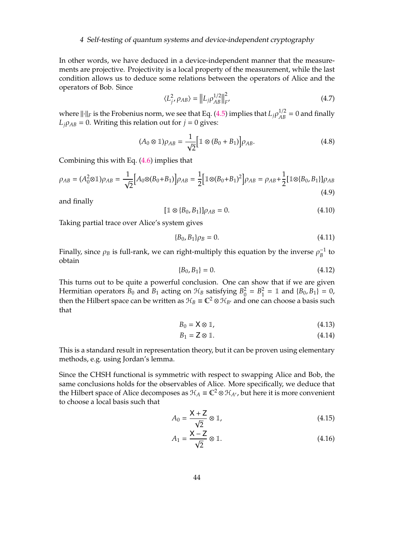#### 4 Self-testing of quantum systems and device-independent cryptography

In other words, we have deduced in a device-independent manner that the measurements are projective. Projectivity is a local property of the measurement, while the last condition allows us to deduce some relations between the operators of Alice and the operators of Bob. Since

$$
\langle L_j^2, \rho_{AB} \rangle = ||L_j \rho_{AB}^{1/2}||_F^2
$$
 (4.7)

where  $\|\cdot\|_F$  is the Frobenius norm, we see that Eq. [\(4.5\)](#page-42-3) implies that  $L_j \rho_{AB}^{1/2} = 0$  and finally  $L_j \rho_{AB} = 0$ . Writing this relation out for  $j = 0$  gives:

$$
(A_0 \otimes \mathbb{1})\rho_{AB} = \frac{1}{\sqrt{2}} \Big[ \mathbb{1} \otimes (B_0 + B_1) \Big] \rho_{AB}.
$$
 (4.8)

Combining this with Eq. [\(4.6\)](#page-42-4) implies that

$$
\rho_{AB} = (A_0^2 \otimes \mathbb{1})\rho_{AB} = \frac{1}{\sqrt{2}} \Big[ A_0 \otimes (B_0 + B_1) \Big] \rho_{AB} = \frac{1}{2} \Big[ \mathbb{1} \otimes (B_0 + B_1)^2 \Big] \rho_{AB} = \rho_{AB} + \frac{1}{2} \Big[ \mathbb{1} \otimes (B_0, B_1) \Big] \rho_{AB}
$$
(4.9)

and finally

$$
[\mathbb{1} \otimes \{B_0, B_1\}] \rho_{AB} = 0. \tag{4.10}
$$

Taking partial trace over Alice's system gives

$$
\{B_0, B_1\}\rho_B = 0.\tag{4.11}
$$

Finally, since  $\rho_B$  is full-rank, we can right-multiply this equation by the inverse  $\rho_B^{-1}$  to obtain

$$
\{B_0, B_1\} = 0. \tag{4.12}
$$

This turns out to be quite a powerful conclusion. One can show that if we are given Hermitian operators  $B_0$  and  $B_1$  acting on  $\mathcal{H}_B$  satisfying  $B_0^2$  $B_0^2 = B_1^2$  $I_1^2 = \mathbb{1}$  and  $\{B_0, B_1\} = 0$ , then the Hilbert space can be written as  $\mathcal{H}_B \equiv \mathbb{C}^2 \otimes \mathcal{H}_{B'}$  and one can choose a basis such that

<span id="page-43-0"></span>
$$
B_0 = \mathsf{X} \otimes \mathbb{1},\tag{4.13}
$$

<span id="page-43-1"></span>
$$
B_1 = \mathbf{Z} \otimes \mathbb{1}.\tag{4.14}
$$

This is a standard result in representation theory, but it can be proven using elementary methods, e.g. using Jordan's lemma.

Since the CHSH functional is symmetric with respect to swapping Alice and Bob, the same conclusions holds for the observables of Alice. More specifically, we deduce that the Hilbert space of Alice decomposes as  $\mathcal{H}_A = \mathbb{C}^2 \otimes \mathcal{H}_{A}$ , but here it is more convenient to choose a local basis such that

<span id="page-43-2"></span>
$$
A_0 = \frac{X + Z}{\sqrt{2}} \otimes \mathbb{1},\tag{4.15}
$$

<span id="page-43-3"></span>
$$
A_1 = \frac{X - Z}{\sqrt{2}} \otimes \mathbb{1}.
$$
 (4.16)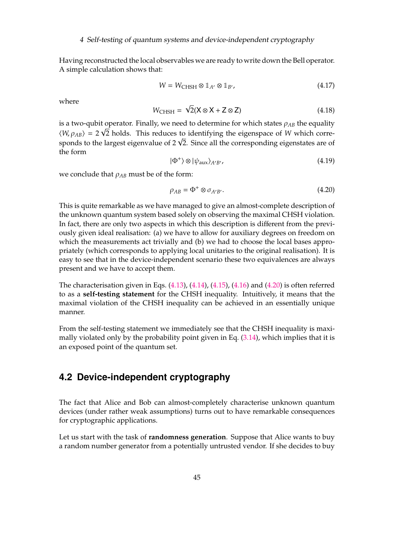#### 4 Self-testing of quantum systems and device-independent cryptography

Having reconstructed the local observables we are ready to write down the Bell operator. A simple calculation shows that:

$$
W = W_{\text{CHSH}} \otimes \mathbb{1}_{A'} \otimes \mathbb{1}_{B'}, \tag{4.17}
$$

where

$$
W_{\text{CHSH}} = \sqrt{2}(\mathsf{X} \otimes \mathsf{X} + \mathsf{Z} \otimes \mathsf{Z}) \tag{4.18}
$$

is a two-qubit operator. Finally, we need to determine for which states  $\rho_{AB}$  the equality  $\langle W, \rho_{AB} \rangle = 2\sqrt{2}$  holds. This reduces to identifying the eigenspace of *W* which corre- $\langle W, \rho_{AB} \rangle = 2$  V2 holds. This reduces to identifying the eigenspace of W which corresponds to the largest eigenvalue of 2  $\sqrt{2}$ . Since all the corresponding eigenstates are of the form

$$
|\Phi^+\rangle \otimes |\psi_{\text{aux}}\rangle_{A'B'},\tag{4.19}
$$

we conclude that  $\rho_{AB}$  must be of the form:

<span id="page-44-1"></span>
$$
\rho_{AB} = \Phi^+ \otimes \sigma_{A'B'}.\tag{4.20}
$$

This is quite remarkable as we have managed to give an almost-complete description of the unknown quantum system based solely on observing the maximal CHSH violation. In fact, there are only two aspects in which this description is different from the previously given ideal realisation: (a) we have to allow for auxiliary degrees on freedom on which the measurements act trivially and (b) we had to choose the local bases appropriately (which corresponds to applying local unitaries to the original realisation). It is easy to see that in the device-independent scenario these two equivalences are always present and we have to accept them.

The characterisation given in Eqs.  $(4.13)$ ,  $(4.14)$ ,  $(4.15)$ ,  $(4.16)$  and  $(4.20)$  is often referred to as a **self-testing statement** for the CHSH inequality. Intuitively, it means that the maximal violation of the CHSH inequality can be achieved in an essentially unique manner.

From the self-testing statement we immediately see that the CHSH inequality is maximally violated only by the probability point given in Eq.  $(3.14)$ , which implies that it is an exposed point of the quantum set.

## <span id="page-44-0"></span>**4.2 Device-independent cryptography**

The fact that Alice and Bob can almost-completely characterise unknown quantum devices (under rather weak assumptions) turns out to have remarkable consequences for cryptographic applications.

Let us start with the task of **randomness generation**. Suppose that Alice wants to buy a random number generator from a potentially untrusted vendor. If she decides to buy